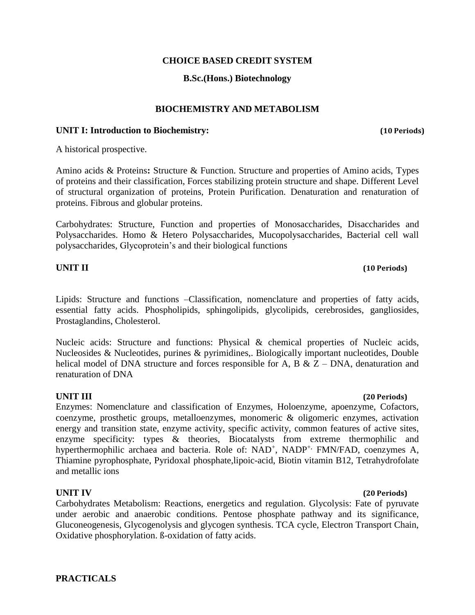### **CHOICE BASED CREDIT SYSTEM**

### **B.Sc.(Hons.) Biotechnology**

### **BIOCHEMISTRY AND METABOLISM**

### **UNIT I: Introduction to Biochemistry: (10 Periods)**

A historical prospective.

Amino acids & Proteins**:** Structure & Function. Structure and properties of Amino acids, Types of proteins and their classification, Forces stabilizing protein structure and shape. Different Level of structural organization of proteins, Protein Purification. Denaturation and renaturation of proteins. Fibrous and globular proteins.

Carbohydrates: Structure, Function and properties of Monosaccharides, Disaccharides and Polysaccharides. Homo & Hetero Polysaccharides, Mucopolysaccharides, Bacterial cell wall polysaccharides, Glycoprotein's and their biological functions

### **UNIT II (10 Periods)**

# Lipids: Structure and functions –Classification, nomenclature and properties of fatty acids, essential fatty acids. Phospholipids, sphingolipids, glycolipids, cerebrosides, gangliosides, Prostaglandins, Cholesterol.

Nucleic acids: Structure and functions: Physical & chemical properties of Nucleic acids, Nucleosides & Nucleotides, purines & pyrimidines,. Biologically important nucleotides, Double helical model of DNA structure and forces responsible for A, B  $\&$  Z – DNA, denaturation and renaturation of DNA

Enzymes: Nomenclature and classification of Enzymes, Holoenzyme, apoenzyme, Cofactors, coenzyme, prosthetic groups, metalloenzymes, monomeric & oligomeric enzymes, activation energy and transition state, enzyme activity, specific activity, common features of active sites, enzyme specificity: types & theories, Biocatalysts from extreme thermophilic and hyperthermophilic archaea and bacteria. Role of: NAD<sup>+</sup>, NADP<sup>+,</sup> FMN/FAD, coenzymes A, Thiamine pyrophosphate, Pyridoxal phosphate,lipoic-acid, Biotin vitamin B12, Tetrahydrofolate and metallic ions

### **UNIT IV (20 Periods)**

Carbohydrates Metabolism: Reactions, energetics and regulation. Glycolysis: Fate of pyruvate under aerobic and anaerobic conditions. Pentose phosphate pathway and its significance, Gluconeogenesis, Glycogenolysis and glycogen synthesis. TCA cycle, Electron Transport Chain, Oxidative phosphorylation. ß-oxidation of fatty acids.

### **PRACTICALS**

### **UNIT III (20 Periods)**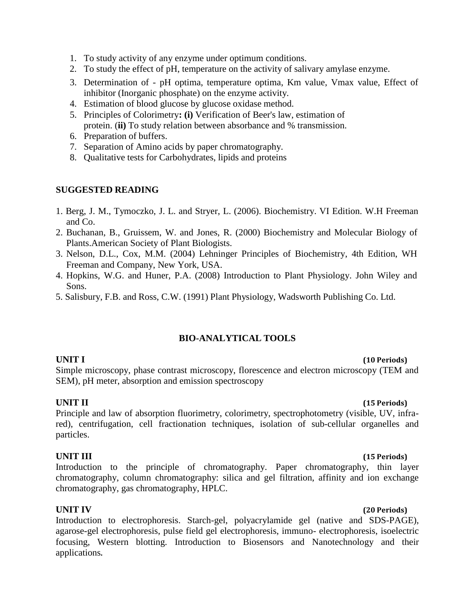- 1. To study activity of any enzyme under optimum conditions.
- 2. To study the effect of pH, temperature on the activity of salivary amylase enzyme.
- 3. Determination of pH optima, temperature optima, Km value, Vmax value, Effect of inhibitor (Inorganic phosphate) on the enzyme activity.
- 4. Estimation of blood glucose by glucose oxidase method.
- 5. Principles of Colorimetry**: (i)** Verification of Beer's law, estimation of protein. (**ii)** To study relation between absorbance and % transmission.
- 6. Preparation of buffers.
- 7. Separation of Amino acids by paper chromatography.
- 8. Qualitative tests for Carbohydrates, lipids and proteins

- 1. Berg, J. M., Tymoczko, J. L. and Stryer, L. (2006). Biochemistry. VI Edition. W.H Freeman and Co.
- 2. Buchanan, B., Gruissem, W. and Jones, R. (2000) Biochemistry and Molecular Biology of Plants.American Society of Plant Biologists.
- 3. Nelson, D.L., Cox, M.M. (2004) Lehninger Principles of Biochemistry, 4th Edition, WH Freeman and Company, New York, USA.
- 4. Hopkins, W.G. and Huner, P.A. (2008) Introduction to Plant Physiology. John Wiley and Sons.
- 5. Salisbury, F.B. and Ross, C.W. (1991) Plant Physiology, Wadsworth Publishing Co. Ltd.

# **BIO-ANALYTICAL TOOLS**

### **UNIT I (10 Periods)**

Simple microscopy, phase contrast microscopy, florescence and electron microscopy (TEM and SEM), pH meter, absorption and emission spectroscopy

# **UNIT II (15 Periods)**

Principle and law of absorption fluorimetry, colorimetry, spectrophotometry (visible, UV, infrared), centrifugation, cell fractionation techniques, isolation of sub-cellular organelles and particles.

### **UNIT III (15 Periods)**

Introduction to the principle of chromatography. Paper chromatography, thin layer chromatography, column chromatography: silica and gel filtration, affinity and ion exchange chromatography, gas chromatography, HPLC.

**UNIT IV (20 Periods)** Introduction to electrophoresis. Starch-gel, polyacrylamide gel (native and SDS-PAGE), agarose-gel electrophoresis, pulse field gel electrophoresis, immuno- electrophoresis, isoelectric focusing, Western blotting. Introduction to Biosensors and Nanotechnology and their applications**.**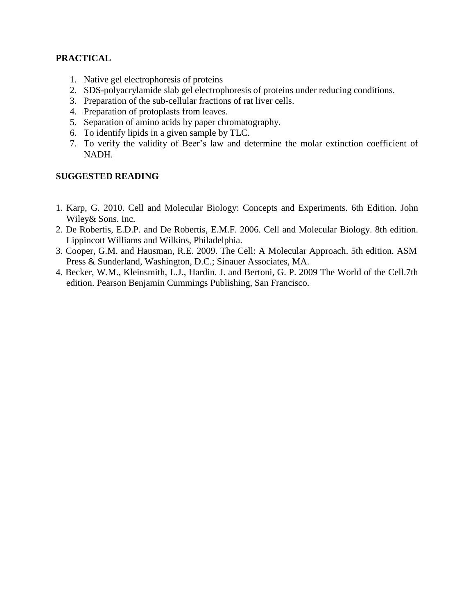# **PRACTICAL**

- 1. Native gel electrophoresis of proteins
- 2. SDS-polyacrylamide slab gel electrophoresis of proteins under reducing conditions.
- 3. Preparation of the sub-cellular fractions of rat liver cells.
- 4. Preparation of protoplasts from leaves.
- 5. Separation of amino acids by paper chromatography.
- 6. To identify lipids in a given sample by TLC.
- 7. To verify the validity of Beer's law and determine the molar extinction coefficient of NADH.

- 1. Karp, G. 2010. Cell and Molecular Biology: Concepts and Experiments. 6th Edition. John Wiley& Sons. Inc.
- 2. De Robertis, E.D.P. and De Robertis, E.M.F. 2006. Cell and Molecular Biology. 8th edition. Lippincott Williams and Wilkins, Philadelphia.
- 3. Cooper, G.M. and Hausman, R.E. 2009. The Cell: A Molecular Approach. 5th edition. ASM Press & Sunderland, Washington, D.C.; Sinauer Associates, MA.
- 4. Becker, W.M., Kleinsmith, L.J., Hardin. J. and Bertoni, G. P. 2009 The World of the Cell.7th edition. Pearson Benjamin Cummings Publishing, San Francisco.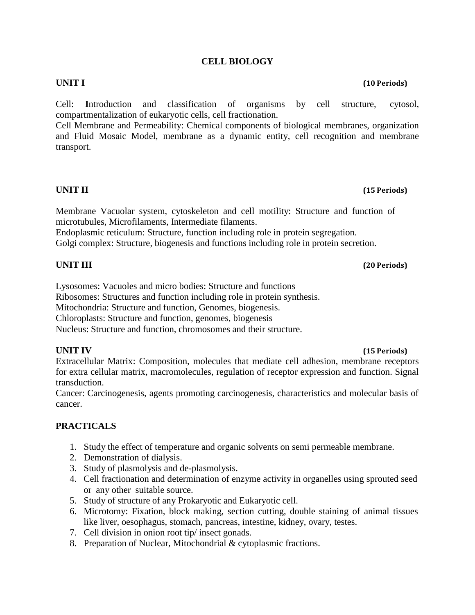## **CELL BIOLOGY**

Cell: **I**ntroduction and classification of organisms by cell structure, cytosol, compartmentalization of eukaryotic cells, cell fractionation.

Cell Membrane and Permeability: Chemical components of biological membranes, organization and Fluid Mosaic Model, membrane as a dynamic entity, cell recognition and membrane transport.

# **UNIT II (15 Periods)**

Membrane Vacuolar system, cytoskeleton and cell motility: Structure and function of microtubules, Microfilaments, Intermediate filaments.

Endoplasmic reticulum: Structure, function including role in protein segregation.

Golgi complex: Structure, biogenesis and functions including role in protein secretion.

# **UNIT III (20 Periods)**

Lysosomes: Vacuoles and micro bodies: Structure and functions

Ribosomes: Structures and function including role in protein synthesis.

Mitochondria: Structure and function, Genomes, biogenesis.

Chloroplasts: Structure and function, genomes, biogenesis

Nucleus: Structure and function, chromosomes and their structure.

Extracellular Matrix: Composition, molecules that mediate cell adhesion, membrane receptors for extra cellular matrix, macromolecules, regulation of receptor expression and function. Signal transduction.

Cancer: Carcinogenesis, agents promoting carcinogenesis, characteristics and molecular basis of cancer.

# **PRACTICALS**

- 1. Study the effect of temperature and organic solvents on semi permeable membrane.
- 2. Demonstration of dialysis.
- 3. Study of plasmolysis and de-plasmolysis.
- 4. Cell fractionation and determination of enzyme activity in organelles using sprouted seed or any other suitable source.
- 5. Study of structure of any Prokaryotic and Eukaryotic cell.
- 6. Microtomy: Fixation, block making, section cutting, double staining of animal tissues like liver, oesophagus, stomach, pancreas, intestine, kidney, ovary, testes.
- 7. Cell division in onion root tip/ insect gonads.
- 8. Preparation of Nuclear, Mitochondrial & cytoplasmic fractions.

# **UNIT IV (15 Periods)**

# **UNIT I (10 Periods)**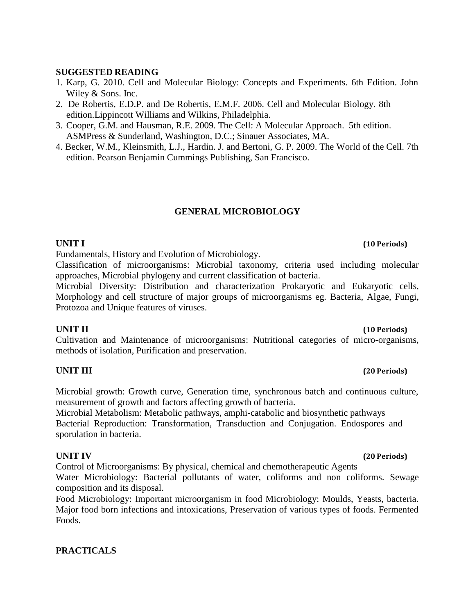- 1. Karp, G. 2010. Cell and Molecular Biology: Concepts and Experiments. 6th Edition. John Wiley & Sons. Inc.
- 2. De Robertis, E.D.P. and De Robertis, E.M.F. 2006. Cell and Molecular Biology. 8th edition.Lippincott Williams and Wilkins, Philadelphia.
- 3. Cooper, G.M. and Hausman, R.E. 2009. The Cell: A Molecular Approach. 5th edition. ASMPress & Sunderland, Washington, D.C.; Sinauer Associates, MA.
- 4. Becker, W.M., Kleinsmith, L.J., Hardin. J. and Bertoni, G. P. 2009. The World of the Cell. 7th edition. Pearson Benjamin Cummings Publishing, San Francisco.

## **GENERAL MICROBIOLOGY**

# **UNIT I (10 Periods)**

Fundamentals, History and Evolution of Microbiology.

Classification of microorganisms: Microbial taxonomy, criteria used including molecular approaches, Microbial phylogeny and current classification of bacteria.

Microbial Diversity: Distribution and characterization Prokaryotic and Eukaryotic cells, Morphology and cell structure of major groups of microorganisms eg. Bacteria, Algae, Fungi, Protozoa and Unique features of viruses.

Cultivation and Maintenance of microorganisms: Nutritional categories of micro-organisms, methods of isolation, Purification and preservation.

### **UNIT III (20 Periods)**

Microbial growth: Growth curve, Generation time, synchronous batch and continuous culture, measurement of growth and factors affecting growth of bacteria.

Microbial Metabolism: Metabolic pathways, amphi-catabolic and biosynthetic pathways Bacterial Reproduction: Transformation, Transduction and Conjugation. Endospores and sporulation in bacteria.

Control of Microorganisms: By physical, chemical and chemotherapeutic Agents

Water Microbiology: Bacterial pollutants of water, coliforms and non coliforms. Sewage composition and its disposal.

Food Microbiology: Important microorganism in food Microbiology: Moulds, Yeasts, bacteria. Major food born infections and intoxications, Preservation of various types of foods. Fermented Foods.

# **PRACTICALS**

# **UNIT II (10 Periods)**

### **UNIT IV (20 Periods)**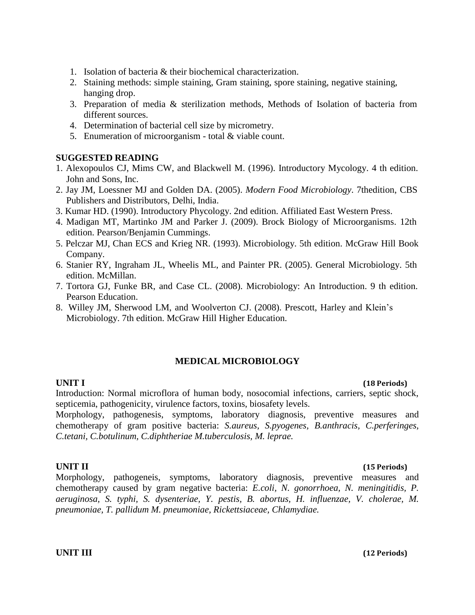- 1. Isolation of bacteria & their biochemical characterization.
- 2. Staining methods: simple staining, Gram staining, spore staining, negative staining, hanging drop.
- 3. Preparation of media & sterilization methods, Methods of Isolation of bacteria from different sources.
- 4. Determination of bacterial cell size by micrometry.
- 5. Enumeration of microorganism total & viable count.

- 1. Alexopoulos CJ, Mims CW, and Blackwell M. (1996). Introductory Mycology. 4 th edition. John and Sons, Inc.
- 2. Jay JM, Loessner MJ and Golden DA. (2005). *Modern Food Microbiology*. 7thedition, CBS Publishers and Distributors, Delhi, India.
- 3. Kumar HD. (1990). Introductory Phycology. 2nd edition. Affiliated East Western Press.
- 4. Madigan MT, Martinko JM and Parker J. (2009). Brock Biology of Microorganisms. 12th edition. Pearson/Benjamin Cummings.
- 5. Pelczar MJ, Chan ECS and Krieg NR. (1993). Microbiology. 5th edition. McGraw Hill Book Company.
- 6. Stanier RY, Ingraham JL, Wheelis ML, and Painter PR. (2005). General Microbiology. 5th edition. McMillan.
- 7. Tortora GJ, Funke BR, and Case CL. (2008). Microbiology: An Introduction. 9 th edition. Pearson Education.
- 8. Willey JM, Sherwood LM, and Woolverton CJ. (2008). Prescott, Harley and Klein's Microbiology. 7th edition. McGraw Hill Higher Education.

# **MEDICAL MICROBIOLOGY**

Introduction: Normal microflora of human body, nosocomial infections, carriers, septic shock, septicemia, pathogenicity, virulence factors, toxins, biosafety levels.

Morphology, pathogenesis, symptoms, laboratory diagnosis, preventive measures and chemotherapy of gram positive bacteria: *S.aureus, S.pyogenes, B.anthracis, C.perferinges, C.tetani, C.botulinum, C.diphtheriae M.tuberculosis, M. leprae.*

### **UNIT II (15 Periods)**

Morphology, pathogeneis, symptoms, laboratory diagnosis, preventive measures and chemotherapy caused by gram negative bacteria: *E.coli, N. gonorrhoea, N. meningitidis, P. aeruginosa, S. typhi, S. dysenteriae, Y. pestis, B. abortus, H. influenzae, V. cholerae, M. pneumoniae, T. pallidum M. pneumoniae, Rickettsiaceae, Chlamydiae.*

### **UNIT III (12 Periods)**

### **UNIT I (18 Periods)**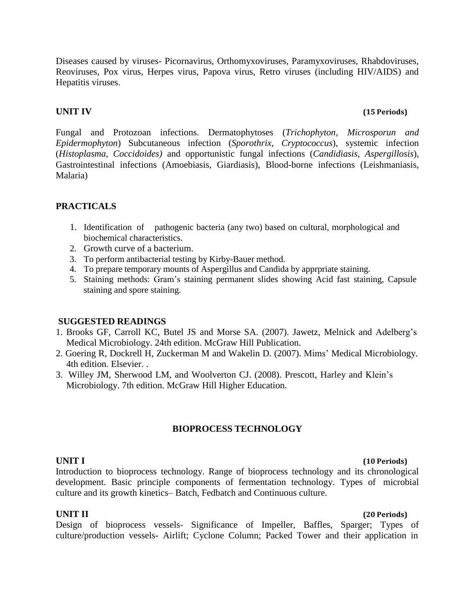Diseases caused by viruses- Picornavirus, Orthomyxoviruses, Paramyxoviruses, Rhabdoviruses, Reoviruses, Pox virus, Herpes virus, Papova virus, Retro viruses (including HIV/AIDS) and Hepatitis viruses.

## **UNIT IV (15 Periods)**

Fungal and Protozoan infections. Dermatophytoses (*Trichophyton, Microsporun and Epidermophyton*) Subcutaneous infection (*Sporothrix, Cryptococcus*), systemic infection (*Histoplasma, Coccidoides)* and opportunistic fungal infections (*Candidiasis, Aspergillosis*), Gastrointestinal infections (Amoebiasis, Giardiasis), Blood-borne infections (Leishmaniasis, Malaria)

# **PRACTICALS**

- 1. Identification of pathogenic bacteria (any two) based on cultural, morphological and biochemical characteristics.
- 2. Growth curve of a bacterium.
- 3. To perform antibacterial testing by Kirby-Bauer method.
- 4. To prepare temporary mounts of Aspergillus and Candida by apprpriate staining.
- 5. Staining methods: Gram's staining permanent slides showing Acid fast staining, Capsule staining and spore staining.

# **SUGGESTED READINGS**

- 1. Brooks GF, Carroll KC, Butel JS and Morse SA. (2007). Jawetz, Melnick and Adelberg's Medical Microbiology. 24th edition. McGraw Hill Publication.
- 2. Goering R, Dockrell H, Zuckerman M and Wakelin D. (2007). Mims' Medical Microbiology. 4th edition. Elsevier. .
- 3. Willey JM, Sherwood LM, and Woolverton CJ. (2008). Prescott, Harley and Klein's Microbiology. 7th edition. McGraw Hill Higher Education.

# **BIOPROCESS TECHNOLOGY**

### **UNIT I (10 Periods)**

Introduction to bioprocess technology. Range of bioprocess technology and its chronological development. Basic principle components of fermentation technology. Types of microbial culture and its growth kinetics– Batch, Fedbatch and Continuous culture.

# **UNIT II (20 Periods)**

Design of bioprocess vessels- Significance of Impeller, Baffles, Sparger; Types of culture/production vessels- Airlift; Cyclone Column; Packed Tower and their application in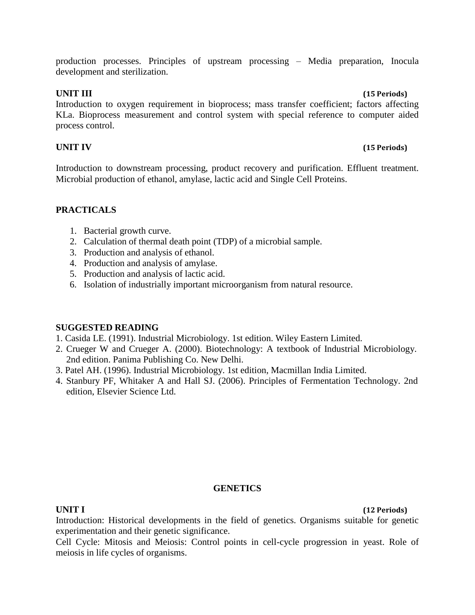production processes. Principles of upstream processing – Media preparation, Inocula development and sterilization.

**UNIT III (15 Periods)**

Introduction to oxygen requirement in bioprocess; mass transfer coefficient; factors affecting KLa. Bioprocess measurement and control system with special reference to computer aided process control.

# **UNIT IV (15 Periods)**

Introduction to downstream processing, product recovery and purification. Effluent treatment. Microbial production of ethanol, amylase, lactic acid and Single Cell Proteins.

### **PRACTICALS**

- 1. Bacterial growth curve.
- 2. Calculation of thermal death point (TDP) of a microbial sample.
- 3. Production and analysis of ethanol.
- 4. Production and analysis of amylase.
- 5. Production and analysis of lactic acid.
- 6. Isolation of industrially important microorganism from natural resource.

### **SUGGESTED READING**

- 1. Casida LE. (1991). Industrial Microbiology. 1st edition. Wiley Eastern Limited.
- 2. Crueger W and Crueger A. (2000). Biotechnology: A textbook of Industrial Microbiology. 2nd edition. Panima Publishing Co. New Delhi.
- 3. Patel AH. (1996). Industrial Microbiology. 1st edition, Macmillan India Limited.
- 4. Stanbury PF, Whitaker A and Hall SJ. (2006). Principles of Fermentation Technology. 2nd edition, Elsevier Science Ltd.

### **GENETICS**

**UNIT I (12 Periods)**

Introduction: Historical developments in the field of genetics. Organisms suitable for genetic experimentation and their genetic significance.

Cell Cycle: Mitosis and Meiosis: Control points in cell-cycle progression in yeast. Role of meiosis in life cycles of organisms.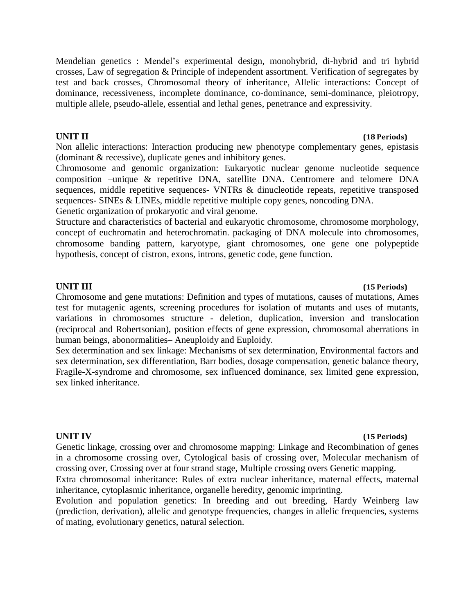Mendelian genetics : Mendel's experimental design, monohybrid, di-hybrid and tri hybrid crosses, Law of segregation & Principle of independent assortment. Verification of segregates by test and back crosses, Chromosomal theory of inheritance, Allelic interactions: Concept of dominance, recessiveness, incomplete dominance, co-dominance, semi-dominance, pleiotropy, multiple allele, pseudo-allele, essential and lethal genes, penetrance and expressivity.

Non allelic interactions: Interaction producing new phenotype complementary genes, epistasis (dominant & recessive), duplicate genes and inhibitory genes.

Chromosome and genomic organization: Eukaryotic nuclear genome nucleotide sequence composition –unique & repetitive DNA, satellite DNA. Centromere and telomere DNA sequences, middle repetitive sequences- VNTRs & dinucleotide repeats, repetitive transposed sequences- SINEs & LINEs, middle repetitive multiple copy genes, noncoding DNA. Genetic organization of prokaryotic and viral genome.

Structure and characteristics of bacterial and eukaryotic chromosome, chromosome morphology,

concept of euchromatin and heterochromatin. packaging of DNA molecule into chromosomes, chromosome banding pattern, karyotype, giant chromosomes, one gene one polypeptide hypothesis, concept of cistron, exons, introns, genetic code, gene function.

### **UNIT III (15 Periods)**

Chromosome and gene mutations: Definition and types of mutations, causes of mutations, Ames test for mutagenic agents, screening procedures for isolation of mutants and uses of mutants, variations in chromosomes structure - deletion, duplication, inversion and translocation (reciprocal and Robertsonian), position effects of gene expression, chromosomal aberrations in human beings, abonormalities– Aneuploidy and Euploidy.

Sex determination and sex linkage: Mechanisms of sex determination, Environmental factors and sex determination, sex differentiation, Barr bodies, dosage compensation, genetic balance theory, Fragile-X-syndrome and chromosome, sex influenced dominance, sex limited gene expression, sex linked inheritance.

### **UNIT IV (15 Periods)**

Genetic linkage, crossing over and chromosome mapping: Linkage and Recombination of genes in a chromosome crossing over, Cytological basis of crossing over, Molecular mechanism of crossing over, Crossing over at four strand stage, Multiple crossing overs Genetic mapping.

Extra chromosomal inheritance: Rules of extra nuclear inheritance, maternal effects, maternal inheritance, cytoplasmic inheritance, organelle heredity, genomic imprinting.

Evolution and population genetics: In breeding and out breeding, Hardy Weinberg law (prediction, derivation), allelic and genotype frequencies, changes in allelic frequencies, systems of mating, evolutionary genetics, natural selection.

# **UNIT II (18 Periods)**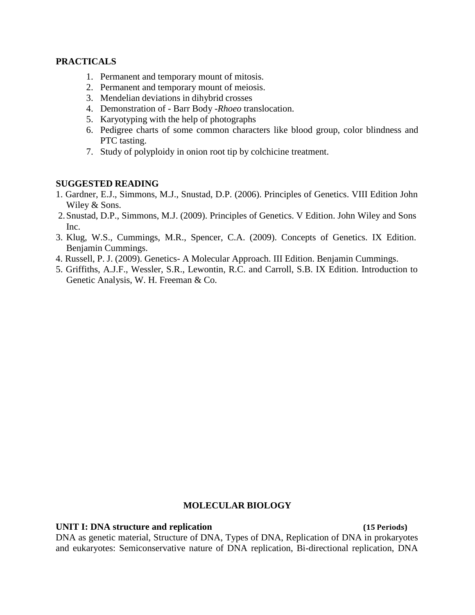### **PRACTICALS**

- 1. Permanent and temporary mount of mitosis.
- 2. Permanent and temporary mount of meiosis.
- 3. Mendelian deviations in dihybrid crosses
- 4. Demonstration of Barr Body *-Rhoeo* translocation.
- 5. Karyotyping with the help of photographs
- 6. Pedigree charts of some common characters like blood group, color blindness and PTC tasting.
- 7. Study of polyploidy in onion root tip by colchicine treatment.

# **SUGGESTED READING**

- 1. Gardner, E.J., Simmons, M.J., Snustad, D.P. (2006). Principles of Genetics. VIII Edition John Wiley & Sons.
- 2.Snustad, D.P., Simmons, M.J. (2009). Principles of Genetics. V Edition. John Wiley and Sons Inc.
- 3. Klug, W.S., Cummings, M.R., Spencer, C.A. (2009). Concepts of Genetics. IX Edition. Benjamin Cummings.
- 4. Russell, P. J. (2009). Genetics- A Molecular Approach. III Edition. Benjamin Cummings.
- 5. Griffiths, A.J.F., Wessler, S.R., Lewontin, R.C. and Carroll, S.B. IX Edition. Introduction to Genetic Analysis, W. H. Freeman & Co.

### **MOLECULAR BIOLOGY**

**UNIT I: DNA structure and replication (15 Periods)**

DNA as genetic material, Structure of DNA, Types of DNA, Replication of DNA in prokaryotes and eukaryotes: Semiconservative nature of DNA replication, Bi-directional replication, DNA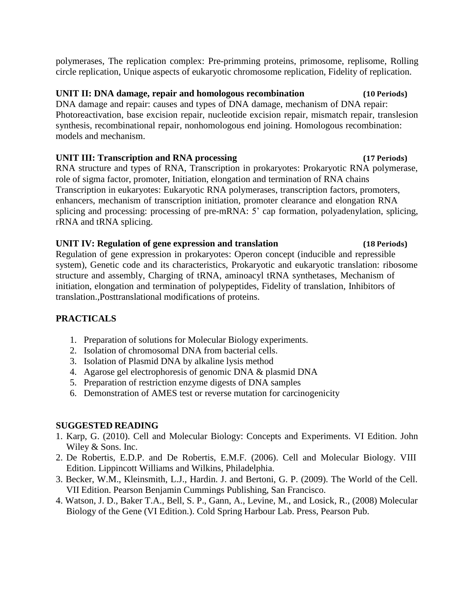polymerases, The replication complex: Pre-primming proteins, primosome, replisome, Rolling circle replication, Unique aspects of eukaryotic chromosome replication, Fidelity of replication.

# **UNIT II: DNA damage, repair and homologous recombination (10 Periods)**

DNA damage and repair: causes and types of DNA damage, mechanism of DNA repair: Photoreactivation, base excision repair, nucleotide excision repair, mismatch repair, translesion synthesis, recombinational repair, nonhomologous end joining. Homologous recombination: models and mechanism.

# **UNIT III: Transcription and RNA processing (17 Periods)**

RNA structure and types of RNA, Transcription in prokaryotes: Prokaryotic RNA polymerase, role of sigma factor, promoter, Initiation, elongation and termination of RNA chains Transcription in eukaryotes: Eukaryotic RNA polymerases, transcription factors, promoters, enhancers, mechanism of transcription initiation, promoter clearance and elongation RNA splicing and processing: processing of pre-mRNA: 5' cap formation, polyadenylation, splicing, rRNA and tRNA splicing.

# **UNIT IV: Regulation of gene expression and translation (18 Periods)**

Regulation of gene expression in prokaryotes: Operon concept (inducible and repressible system), Genetic code and its characteristics, Prokaryotic and eukaryotic translation: ribosome structure and assembly, Charging of tRNA, aminoacyl tRNA synthetases, Mechanism of initiation, elongation and termination of polypeptides, Fidelity of translation, Inhibitors of translation.,Posttranslational modifications of proteins.

# **PRACTICALS**

- 1. Preparation of solutions for Molecular Biology experiments.
- 2. Isolation of chromosomal DNA from bacterial cells.
- 3. Isolation of Plasmid DNA by alkaline lysis method
- 4. Agarose gel electrophoresis of genomic DNA & plasmid DNA
- 5. Preparation of restriction enzyme digests of DNA samples
- 6. Demonstration of AMES test or reverse mutation for carcinogenicity

- 1. Karp, G. (2010). Cell and Molecular Biology: Concepts and Experiments. VI Edition. John Wiley & Sons. Inc.
- 2. De Robertis, E.D.P. and De Robertis, E.M.F. (2006). Cell and Molecular Biology. VIII Edition. Lippincott Williams and Wilkins, Philadelphia.
- 3. Becker, W.M., Kleinsmith, L.J., Hardin. J. and Bertoni, G. P. (2009). The World of the Cell. VII Edition. Pearson Benjamin Cummings Publishing, San Francisco.
- 4. Watson, J. D., Baker T.A., Bell, S. P., Gann, A., Levine, M., and Losick, R., (2008) Molecular Biology of the Gene (VI Edition.). Cold Spring Harbour Lab. Press, Pearson Pub.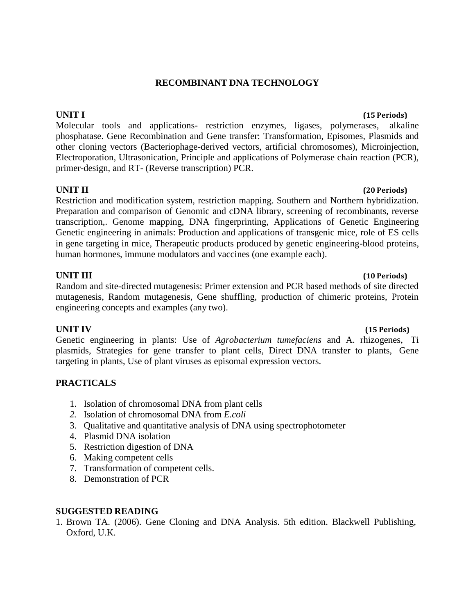# **RECOMBINANT DNA TECHNOLOGY**

Molecular tools and applications- restriction enzymes, ligases, polymerases, alkaline phosphatase. Gene Recombination and Gene transfer: Transformation, Episomes, Plasmids and other cloning vectors (Bacteriophage-derived vectors, artificial chromosomes), Microinjection, Electroporation, Ultrasonication, Principle and applications of Polymerase chain reaction (PCR), primer-design, and RT- (Reverse transcription) PCR.

# **UNIT II (20 Periods)**

Restriction and modification system, restriction mapping. Southern and Northern hybridization. Preparation and comparison of Genomic and cDNA library, screening of recombinants, reverse transcription,. Genome mapping, DNA fingerprinting, Applications of Genetic Engineering Genetic engineering in animals: Production and applications of transgenic mice, role of ES cells in gene targeting in mice, Therapeutic products produced by genetic engineering-blood proteins, human hormones, immune modulators and vaccines (one example each).

# **UNIT III (10 Periods)**

Random and site-directed mutagenesis: Primer extension and PCR based methods of site directed mutagenesis, Random mutagenesis, Gene shuffling, production of chimeric proteins, Protein engineering concepts and examples (any two).

Genetic engineering in plants: Use of *Agrobacterium tumefaciens* and A. rhizogenes, Ti plasmids, Strategies for gene transfer to plant cells, Direct DNA transfer to plants, Gene targeting in plants, Use of plant viruses as episomal expression vectors.

# **PRACTICALS**

- 1. Isolation of chromosomal DNA from plant cells
- *2.* Isolation of chromosomal DNA from *E.coli*
- 3. Qualitative and quantitative analysis of DNA using spectrophotometer
- 4. Plasmid DNA isolation
- 5. Restriction digestion of DNA
- 6. Making competent cells
- 7. Transformation of competent cells.
- 8. Demonstration of PCR

### **SUGGESTED READING**

1. Brown TA. (2006). Gene Cloning and DNA Analysis. 5th edition. Blackwell Publishing, Oxford, U.K.

# **UNIT I (15 Periods)**

### **UNIT IV (15 Periods)**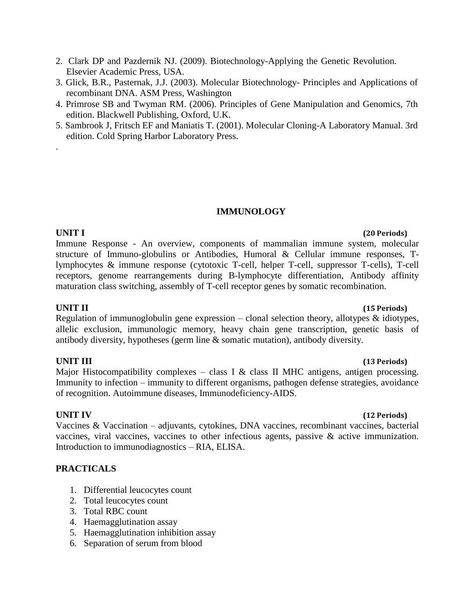- 2. Clark DP and Pazdernik NJ. (2009). Biotechnology-Applying the Genetic Revolution. Elsevier Academic Press, USA.
- 3. Glick, B.R., Pasternak, J.J. (2003). Molecular Biotechnology- Principles and Applications of recombinant DNA. ASM Press, Washington
- 4. Primrose SB and Twyman RM. (2006). Principles of Gene Manipulation and Genomics, 7th edition. Blackwell Publishing, Oxford, U.K.
- 5. Sambrook J, Fritsch EF and Maniatis T. (2001). Molecular Cloning-A Laboratory Manual. 3rd edition. Cold Spring Harbor Laboratory Press.

# **IMMUNOLOGY**

# **UNIT I (20 Periods)** Immune Response - An overview, components of mammalian immune system, molecular structure of Immuno-globulins or Antibodies, Humoral & Cellular immune responses, Tlymphocytes & immune response (cytotoxic T-cell, helper T-cell, suppressor T-cells), T-cell receptors, genome rearrangements during B-lymphocyte differentiation, Antibody affinity maturation class switching, assembly of T-cell receptor genes by somatic recombination.

# **UNIT II (15 Periods)**

.

Regulation of immunoglobulin gene expression – clonal selection theory, allotypes  $\&$  idiotypes, allelic exclusion, immunologic memory, heavy chain gene transcription, genetic basis of antibody diversity, hypotheses (germ line & somatic mutation), antibody diversity.

# **UNIT III (13 Periods)**

Major Histocompatibility complexes – class I & class II MHC antigens, antigen processing. Immunity to infection – immunity to different organisms, pathogen defense strategies, avoidance of recognition. Autoimmune diseases, Immunodeficiency-AIDS.

# **UNIT IV (12 Periods)**

Vaccines & Vaccination – adjuvants, cytokines, DNA vaccines, recombinant vaccines, bacterial vaccines, viral vaccines, vaccines to other infectious agents, passive & active immunization. Introduction to immunodiagnostics – RIA, ELISA.

- 1. Differential leucocytes count
- 2. Total leucocytes count
- 3. Total RBC count
- 4. Haemagglutination assay
- 5. Haemagglutination inhibition assay
- 6. Separation of serum from blood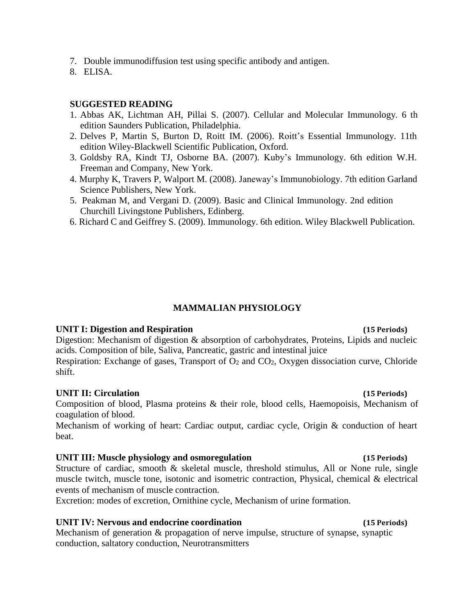- 7. Double immunodiffusion test using specific antibody and antigen.
- 8. ELISA.

- 1. Abbas AK, Lichtman AH, Pillai S. (2007). Cellular and Molecular Immunology. 6 th edition Saunders Publication, Philadelphia.
- 2. Delves P, Martin S, Burton D, Roitt IM. (2006). Roitt's Essential Immunology. 11th edition Wiley-Blackwell Scientific Publication, Oxford.
- 3. Goldsby RA, Kindt TJ, Osborne BA. (2007). Kuby's Immunology. 6th edition W.H. Freeman and Company, New York.
- 4. Murphy K, Travers P, Walport M. (2008). Janeway's Immunobiology. 7th edition Garland Science Publishers, New York.
- 5. Peakman M, and Vergani D. (2009). Basic and Clinical Immunology. 2nd edition Churchill Livingstone Publishers, Edinberg.
- 6. Richard C and Geiffrey S. (2009). Immunology. 6th edition. Wiley Blackwell Publication.

### **MAMMALIAN PHYSIOLOGY**

### **UNIT I: Digestion and Respiration (15 Periods)**

Digestion: Mechanism of digestion & absorption of carbohydrates, Proteins, Lipids and nucleic acids. Composition of bile, Saliva, Pancreatic, gastric and intestinal juice Respiration: Exchange of gases, Transport of  $O_2$  and  $CO_2$ , Oxygen dissociation curve, Chloride shift.

### **UNIT II: Circulation (15 Periods)**

Composition of blood, Plasma proteins & their role, blood cells, Haemopoisis, Mechanism of coagulation of blood.

Mechanism of working of heart: Cardiac output, cardiac cycle, Origin & conduction of heart beat.

### **UNIT III: Muscle physiology and osmoregulation (15 Periods)**

Structure of cardiac, smooth & skeletal muscle, threshold stimulus, All or None rule, single muscle twitch, muscle tone, isotonic and isometric contraction, Physical, chemical & electrical events of mechanism of muscle contraction.

Excretion: modes of excretion, Ornithine cycle, Mechanism of urine formation.

### **UNIT IV: Nervous and endocrine coordination (15 Periods)**

Mechanism of generation & propagation of nerve impulse, structure of synapse, synaptic conduction, saltatory conduction, Neurotransmitters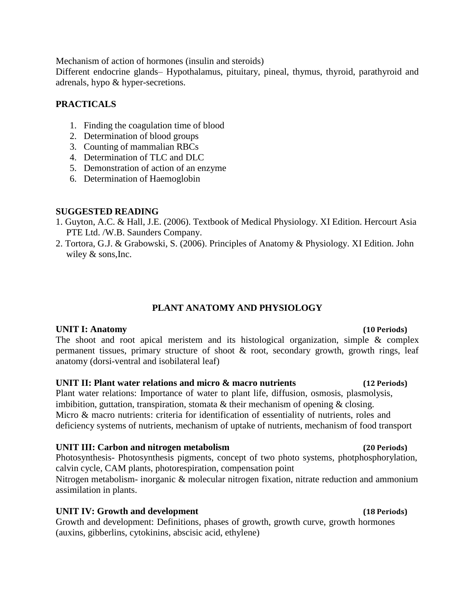Mechanism of action of hormones (insulin and steroids)

Different endocrine glands– Hypothalamus, pituitary, pineal, thymus, thyroid, parathyroid and adrenals, hypo & hyper-secretions.

# **PRACTICALS**

- 1. Finding the coagulation time of blood
- 2. Determination of blood groups
- 3. Counting of mammalian RBCs
- 4. Determination of TLC and DLC
- 5. Demonstration of action of an enzyme
- 6. Determination of Haemoglobin

# **SUGGESTED READING**

- 1. Guyton, A.C. & Hall, J.E. (2006). Textbook of Medical Physiology. XI Edition. Hercourt Asia PTE Ltd. /W.B. Saunders Company.
- 2. Tortora, G.J. & Grabowski, S. (2006). Principles of Anatomy & Physiology. XI Edition. John wiley & sons,Inc.

# **PLANT ANATOMY AND PHYSIOLOGY**

### **UNIT I: Anatomy (10 Periods)**

The shoot and root apical meristem and its histological organization, simple  $\&$  complex permanent tissues, primary structure of shoot & root, secondary growth, growth rings, leaf anatomy (dorsi-ventral and isobilateral leaf)

### **UNIT II: Plant water relations and micro & macro nutrients (12 Periods)**

Plant water relations: Importance of water to plant life, diffusion, osmosis, plasmolysis, imbibition, guttation, transpiration, stomata & their mechanism of opening & closing. Micro & macro nutrients: criteria for identification of essentiality of nutrients, roles and deficiency systems of nutrients, mechanism of uptake of nutrients, mechanism of food transport

### **UNIT III: Carbon and nitrogen metabolism (20 Periods)**

Photosynthesis- Photosynthesis pigments, concept of two photo systems, photphosphorylation, calvin cycle, CAM plants, photorespiration, compensation point

Nitrogen metabolism- inorganic & molecular nitrogen fixation, nitrate reduction and ammonium assimilation in plants.

# **UNIT IV: Growth and development (18 Periods)**

Growth and development: Definitions, phases of growth, growth curve, growth hormones (auxins, gibberlins, cytokinins, abscisic acid, ethylene)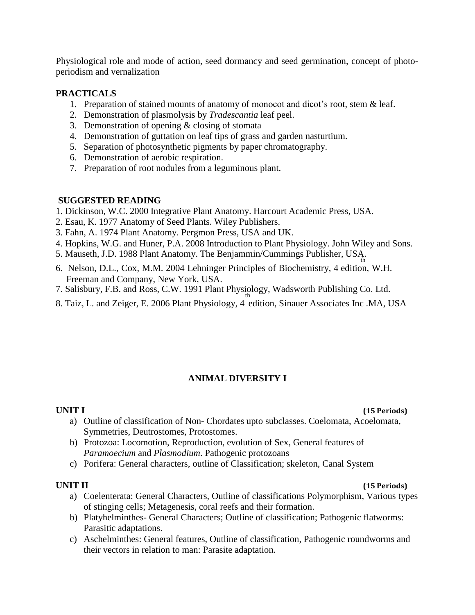Physiological role and mode of action, seed dormancy and seed germination, concept of photoperiodism and vernalization

## **PRACTICALS**

- 1. Preparation of stained mounts of anatomy of monocot and dicot's root, stem & leaf.
- 2. Demonstration of plasmolysis by *Tradescantia* leaf peel.
- 3. Demonstration of opening & closing of stomata
- 4. Demonstration of guttation on leaf tips of grass and garden nasturtium.
- 5. Separation of photosynthetic pigments by paper chromatography.
- 6. Demonstration of aerobic respiration.
- 7. Preparation of root nodules from a leguminous plant.

# **SUGGESTED READING**

- 1. Dickinson, W.C. 2000 Integrative Plant Anatomy. Harcourt Academic Press, USA.
- 2. Esau, K. 1977 Anatomy of Seed Plants. Wiley Publishers.
- 3. Fahn, A. 1974 Plant Anatomy. Pergmon Press, USA and UK.
- 4. Hopkins, W.G. and Huner, P.A. 2008 Introduction to Plant Physiology. John Wiley and Sons.
- 5. Mauseth, J.D. 1988 Plant Anatomy. The Benjammin/Cummings Publisher, USA, the
- 6. Nelson, D.L., Cox, M.M. 2004 Lehninger Principles of Biochemistry, 4 edition, W.H. Freeman and Company, New York, USA.
- 7. Salisbury, F.B. and Ross, C.W. 1991 Plant Physiology, Wadsworth Publishing Co. Ltd.
- 8. Taiz, L. and Zeiger, E. 2006 Plant Physiology, 4 edition, Sinauer Associates Inc .MA, USA

# **ANIMAL DIVERSITY I**

### **UNIT I (15 Periods)**

- a) Outline of classification of Non- Chordates upto subclasses. Coelomata, Acoelomata, Symmetries, Deutrostomes, Protostomes.
- b) Protozoa: Locomotion, Reproduction, evolution of Sex, General features of *Paramoecium* and *Plasmodium*. Pathogenic protozoans
- c) Porifera: General characters, outline of Classification; skeleton, Canal System

### **UNIT II (15 Periods)**

- a) Coelenterata: General Characters, Outline of classifications Polymorphism, Various types of stinging cells; Metagenesis, coral reefs and their formation.
- b) Platyhelminthes- General Characters; Outline of classification; Pathogenic flatworms: Parasitic adaptations.
- c) Aschelminthes: General features, Outline of classification, Pathogenic roundworms and their vectors in relation to man: Parasite adaptation.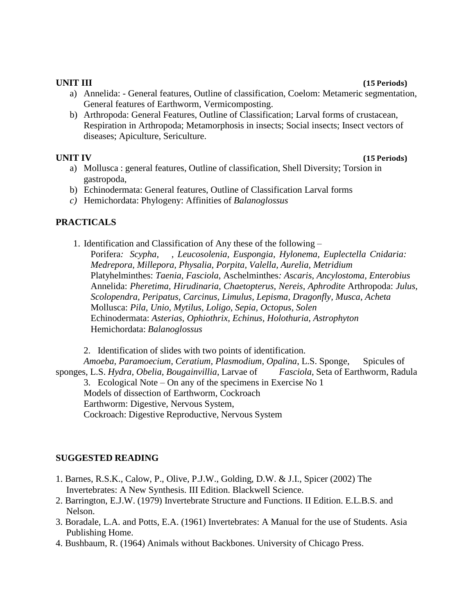### **UNIT III (15 Periods)**

- a) Annelida: General features, Outline of classification, Coelom: Metameric segmentation, General features of Earthworm, Vermicomposting.
- b) Arthropoda: General Features, Outline of Classification; Larval forms of crustacean, Respiration in Arthropoda; Metamorphosis in insects; Social insects; Insect vectors of diseases; Apiculture, Sericulture.

### **UNIT IV (15 Periods)**

- a) Mollusca : general features, Outline of classification, Shell Diversity; Torsion in gastropoda,
- b) Echinodermata: General features, Outline of Classification Larval forms
- *c)* Hemichordata: Phylogeny: Affinities of *Balanoglossus*

# **PRACTICALS**

1. Identification and Classification of Any these of the following –

Porifera*: Scypha, , Leucosolenia, Euspongia, Hylonema, Euplectella Cnidaria: Medrepora, Millepora, Physalia, Porpita, Valella, Aurelia, Metridium* Platyhelminthes: *Taenia, Fasciola*, Aschelminthes*: Ascaris, Ancylostoma, Enterobius* Annelida: *Pheretima, Hirudinaria, Chaetopterus, Nereis, Aphrodite* Arthropoda: *Julus, Scolopendra, Peripatus, Carcinus, Limulus, Lepisma, Dragonfly, Musca, Acheta* Mollusca: *Pila, Unio, Mytilus, Loligo, Sepia, Octopus, Solen* Echinodermata: *Asterias, Ophiothrix, Echinus, Holothuria, Astrophyton* Hemichordata: *Balanoglossus*

2. Identification of slides with two points of identification. *Amoeba, Paramoecium, Ceratium, Plasmodium, Opalina*, L.S. Sponge, Spicules of sponges, L.S. *Hydra, Obelia, Bougainvillia*, Larvae of *Fasciola,* Seta of Earthworm, Radula 3. Ecological Note – On any of the specimens in Exercise No 1 Models of dissection of Earthworm, Cockroach Earthworm: Digestive, Nervous System,

Cockroach: Digestive Reproductive, Nervous System

- 1. Barnes, R.S.K., Calow, P., Olive, P.J.W., Golding, D.W. & J.I., Spicer (2002) The Invertebrates: A New Synthesis. III Edition. Blackwell Science.
- 2. Barrington, E.J.W. (1979) Invertebrate Structure and Functions. II Edition. E.L.B.S. and Nelson.
- 3. Boradale, L.A. and Potts, E.A. (1961) Invertebrates: A Manual for the use of Students. Asia Publishing Home.
- 4. Bushbaum, R. (1964) Animals without Backbones. University of Chicago Press.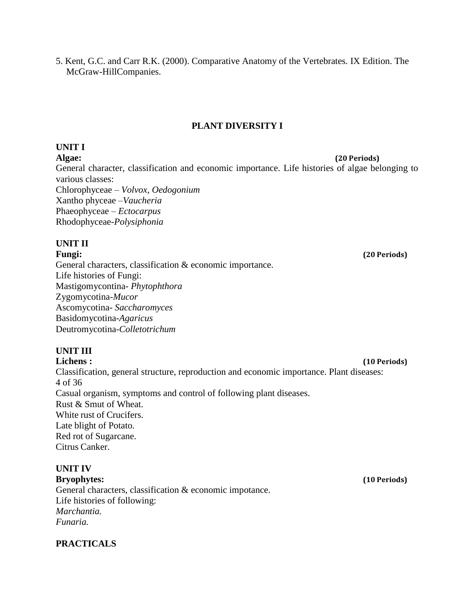5. Kent, G.C. and Carr R.K. (2000). Comparative Anatomy of the Vertebrates. IX Edition. The McGraw-HillCompanies.

# **PLANT DIVERSITY I**

## **UNIT I**

**Algae: (20 Periods)** General character, classification and economic importance. Life histories of algae belonging to various classes: Chlorophyceae – *Volvox, Oedogonium* Xantho phyceae –*Vaucheria* Phaeophyceae *– Ectocarpus* Rhodophyceae-*Polysiphonia*

# **UNIT II**

General characters, classification & economic importance. Life histories of Fungi: Mastigomycontina- *Phytophthora* Zygomycotina-*Mucor* Ascomycotina- *Saccharomyces* Basidomycotina-*Agaricus* Deutromycotina-*Colletotrichum*

# **UNIT III**

**Lichens : (10 Periods)** Classification, general structure, reproduction and economic importance. Plant diseases: 4 of 36 Casual organism, symptoms and control of following plant diseases. Rust & Smut of Wheat. White rust of Crucifers. Late blight of Potato. Red rot of Sugarcane. Citrus Canker.

# **UNIT IV**

**Bryophytes: (10 Periods)** General characters, classification & economic impotance. Life histories of following: *Marchantia. Funaria.*

# **PRACTICALS**

**Fungi: (20 Periods)**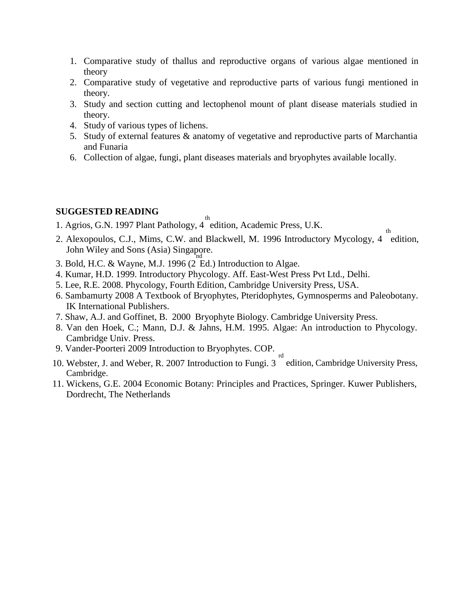- 1. Comparative study of thallus and reproductive organs of various algae mentioned in theory
- 2. Comparative study of vegetative and reproductive parts of various fungi mentioned in theory.
- 3. Study and section cutting and lectophenol mount of plant disease materials studied in theory.
- 4. Study of various types of lichens.
- 5. Study of external features & anatomy of vegetative and reproductive parts of Marchantia and Funaria
- 6. Collection of algae, fungi, plant diseases materials and bryophytes available locally.

- 1. Agrios, G.N. 1997 Plant Pathology, 4 edition, Academic Press, U.K.
- th 2. Alexopoulos, C.J., Mims, C.W. and Blackwell, M. 1996 Introductory Mycology, 4 edition, John Wiley and Sons (Asia) Singapore.
- 3. Bold, H.C. & Wayne, M.J. 1996 (2 Ed.) Introduction to Algae.
- 4. Kumar, H.D. 1999. Introductory Phycology. Aff. East-West Press Pvt Ltd., Delhi.
- 5. Lee, R.E. 2008. Phycology, Fourth Edition, Cambridge University Press, USA.
- 6. Sambamurty 2008 A Textbook of Bryophytes, Pteridophytes, Gymnosperms and Paleobotany. IK International Publishers.
- 7. Shaw, A.J. and Goffinet, B. 2000 Bryophyte Biology. Cambridge University Press.
- 8. Van den Hoek, C.; Mann, D.J. & Jahns, H.M. 1995. Algae: An introduction to Phycology. Cambridge Univ. Press.
- 9. Vander-Poorteri 2009 Introduction to Bryophytes. COP.
- 10. Webster, J. and Weber, R. 2007 Introduction to Fungi. 3<sup>rd</sup> edition, Cambridge University Press, Cambridge.
- 11. Wickens, G.E. 2004 Economic Botany: Principles and Practices, Springer. Kuwer Publishers, Dordrecht, The Netherlands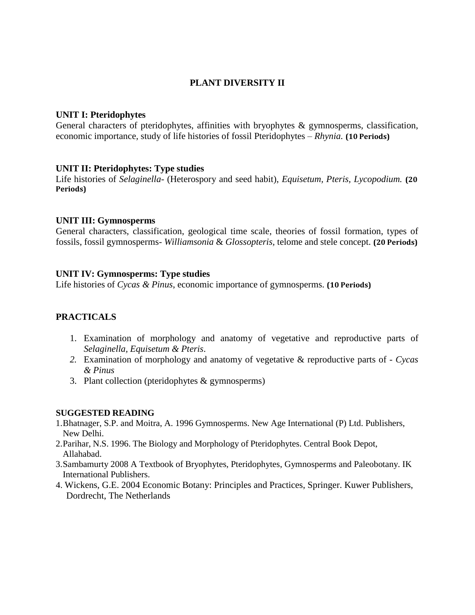# **PLANT DIVERSITY II**

## **UNIT I: Pteridophytes**

General characters of pteridophytes, affinities with bryophytes & gymnosperms, classification, economic importance, study of life histories of fossil Pteridophytes – *Rhynia.* **(10 Periods)**

# **UNIT II: Pteridophytes: Type studies**

Life histories of *Selaginella*- (Heterospory and seed habit), *Equisetum, Pteris, Lycopodium.* **(20 Periods)**

# **UNIT III: Gymnosperms**

General characters, classification, geological time scale, theories of fossil formation, types of fossils, fossil gymnosperms*- Williamsonia* & *Glossopteris,* telome and stele concept. **(20 Periods)**

# **UNIT IV: Gymnosperms: Type studies**

Life histories of *Cycas & Pinus*, economic importance of gymnosperms. **(10 Periods)**

# **PRACTICALS**

- 1. Examination of morphology and anatomy of vegetative and reproductive parts of *Selaginella, Equisetum & Pteris*.
- *2.* Examination of morphology and anatomy of vegetative & reproductive parts of *- Cycas & Pinus*
- 3. Plant collection (pteridophytes & gymnosperms)

- 1.Bhatnager, S.P. and Moitra, A. 1996 Gymnosperms. New Age International (P) Ltd. Publishers, New Delhi.
- 2.Parihar, N.S. 1996. The Biology and Morphology of Pteridophytes. Central Book Depot, Allahabad.
- 3.Sambamurty 2008 A Textbook of Bryophytes, Pteridophytes, Gymnosperms and Paleobotany. IK International Publishers.
- 4. Wickens, G.E. 2004 Economic Botany: Principles and Practices, Springer. Kuwer Publishers, Dordrecht, The Netherlands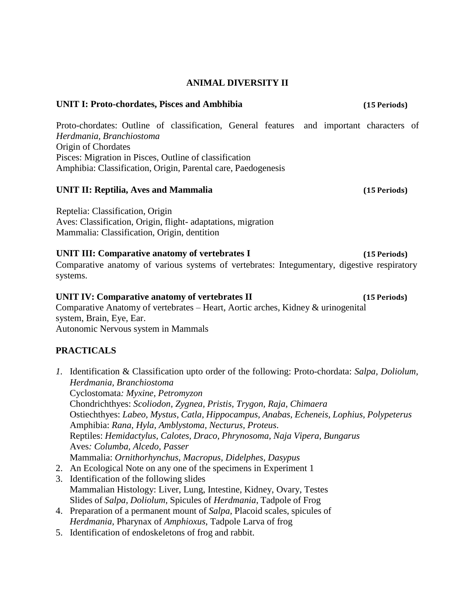### **ANIMAL DIVERSITY II**

### **UNIT I: Proto-chordates, Pisces and Ambhibia (15 Periods)**

Proto-chordates: Outline of classification, General features and important characters of *Herdmania, Branchiostoma* Origin of Chordates Pisces: Migration in Pisces, Outline of classification Amphibia: Classification, Origin, Parental care, Paedogenesis

### **UNIT II: Reptilia, Aves and Mammalia (15 Periods)**

Reptelia: Classification, Origin Aves: Classification, Origin, flight- adaptations, migration Mammalia: Classification, Origin, dentition

# **III:** Comparative anatomy of vertebrates I (15 Periods)

Comparative anatomy of various systems of vertebrates: Integumentary, digestive respiratory systems.

# **UNIT IV: Comparative anatomy of vertebrates II (15 Periods)**

Comparative Anatomy of vertebrates – Heart, Aortic arches, Kidney & urinogenital system, Brain, Eye, Ear. Autonomic Nervous system in Mammals

- *1.* Identification & Classification upto order of the following: Proto-chordata: *Salpa, Doliolum, Herdmania, Branchiostoma* Cyclostomata*: Myxine, Petromyzon* Chondrichthyes: *Scoliodon, Zygnea, Pristis, Trygon, Raja, Chimaera* Ostiechthyes: *Labeo, Mystus, Catla, Hippocampus, Anabas, Echeneis, Lophius, Polypeterus* Amphibia: *Rana, Hyla, Amblystoma, Necturus, Proteus*. Reptiles: *Hemidactylus, Calotes, Draco, Phrynosoma, Naja Vipera, Bungarus* Aves*: Columba, Alcedo, Passer* Mammalia: *Ornithorhynchus, Macropus, Didelphes, Dasypus* 2. An Ecological Note on any one of the specimens in Experiment 1
- 3. Identification of the following slides Mammalian Histology: Liver, Lung, Intestine, Kidney, Ovary, Testes Slides of *Salpa, Doliolum,* Spicules of *Herdmania*, Tadpole of Frog
- 4. Preparation of a permanent mount of *Salpa*, Placoid scales, spicules of *Herdmania,* Pharynax of *Amphioxus*, Tadpole Larva of frog
- 5. Identification of endoskeletons of frog and rabbit.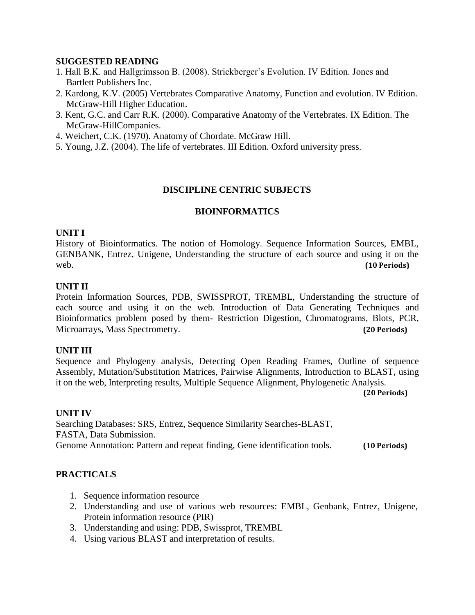- 1. Hall B.K. and Hallgrimsson B. (2008). Strickberger's Evolution. IV Edition. Jones and Bartlett Publishers Inc.
- 2. Kardong, K.V. (2005) Vertebrates Comparative Anatomy, Function and evolution. IV Edition. McGraw-Hill Higher Education.
- 3. Kent, G.C. and Carr R.K. (2000). Comparative Anatomy of the Vertebrates. IX Edition. The McGraw-HillCompanies.
- 4. Weichert, C.K. (1970). Anatomy of Chordate. McGraw Hill.
- 5. Young, J.Z. (2004). The life of vertebrates. III Edition. Oxford university press.

### **DISCIPLINE CENTRIC SUBJECTS**

### **BIOINFORMATICS**

### **UNIT I**

History of Bioinformatics. The notion of Homology. Sequence Information Sources, EMBL, GENBANK, Entrez, Unigene, Understanding the structure of each source and using it on the web. **(10 Periods)**

### **UNIT II**

Protein Information Sources, PDB, SWISSPROT, TREMBL, Understanding the structure of each source and using it on the web. Introduction of Data Generating Techniques and Bioinformatics problem posed by them- Restriction Digestion, Chromatograms, Blots, PCR, Microarrays, Mass Spectrometry. **(20 Periods)**

### **UNIT III**

Sequence and Phylogeny analysis, Detecting Open Reading Frames, Outline of sequence Assembly, Mutation/Substitution Matrices, Pairwise Alignments, Introduction to BLAST, using it on the web, Interpreting results, Multiple Sequence Alignment, Phylogenetic Analysis.

**(20 Periods)**

### **UNIT IV**

Searching Databases: SRS, Entrez, Sequence Similarity Searches-BLAST, FASTA, Data Submission. Genome Annotation: Pattern and repeat finding, Gene identification tools. **(10 Periods)**

- 1. Sequence information resource
- 2. Understanding and use of various web resources: EMBL, Genbank, Entrez, Unigene, Protein information resource (PIR)
- 3. Understanding and using: PDB, Swissprot, TREMBL
- 4. Using various BLAST and interpretation of results.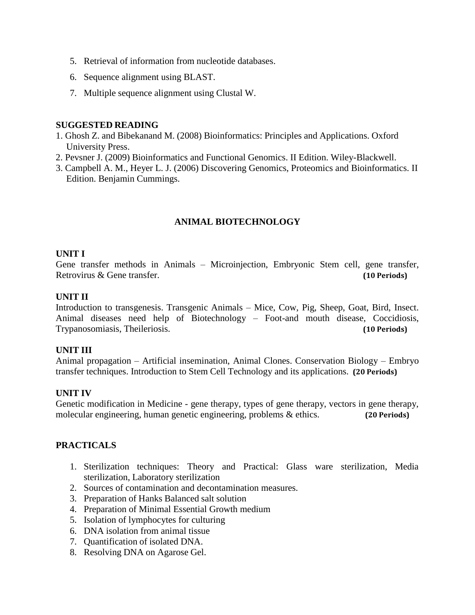- 5. Retrieval of information from nucleotide databases.
- 6. Sequence alignment using BLAST.
- 7. Multiple sequence alignment using Clustal W.

- 1. Ghosh Z. and Bibekanand M. (2008) Bioinformatics: Principles and Applications. Oxford University Press.
- 2. Pevsner J. (2009) Bioinformatics and Functional Genomics. II Edition. Wiley-Blackwell.
- 3. Campbell A. M., Heyer L. J. (2006) Discovering Genomics, Proteomics and Bioinformatics. II Edition. Benjamin Cummings.

# **ANIMAL BIOTECHNOLOGY**

### **UNIT I**

Gene transfer methods in Animals – Microinjection, Embryonic Stem cell, gene transfer, Retrovirus & Gene transfer. **(10 Periods)**

### **UNIT II**

Introduction to transgenesis. Transgenic Animals – Mice, Cow, Pig, Sheep, Goat, Bird, Insect. Animal diseases need help of Biotechnology – Foot-and mouth disease, Coccidiosis, Trypanosomiasis, Theileriosis. **(10 Periods)**

### **UNIT III**

Animal propagation – Artificial insemination, Animal Clones. Conservation Biology – Embryo transfer techniques. Introduction to Stem Cell Technology and its applications. **(20 Periods)**

### **UNIT IV**

Genetic modification in Medicine - gene therapy, types of gene therapy, vectors in gene therapy, molecular engineering, human genetic engineering, problems & ethics. **(20 Periods)**

- 1. Sterilization techniques: Theory and Practical: Glass ware sterilization, Media sterilization, Laboratory sterilization
- 2. Sources of contamination and decontamination measures.
- 3. Preparation of Hanks Balanced salt solution
- 4. Preparation of Minimal Essential Growth medium
- 5. Isolation of lymphocytes for culturing
- 6. DNA isolation from animal tissue
- 7. Quantification of isolated DNA.
- 8. Resolving DNA on Agarose Gel.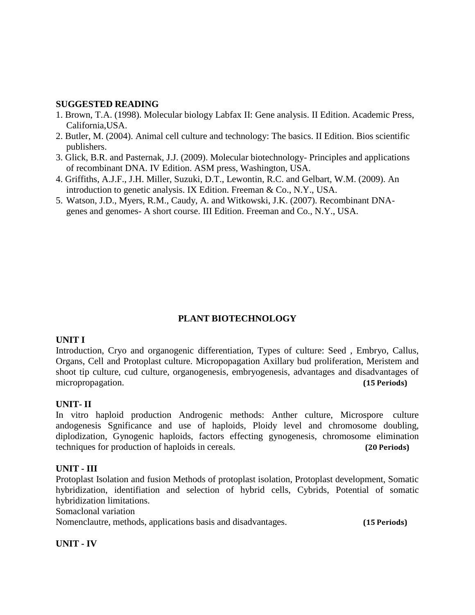- 1. Brown, T.A. (1998). Molecular biology Labfax II: Gene analysis. II Edition. Academic Press, California,USA.
- 2. Butler, M. (2004). Animal cell culture and technology: The basics. II Edition. Bios scientific publishers.
- 3. Glick, B.R. and Pasternak, J.J. (2009). Molecular biotechnology- Principles and applications of recombinant DNA. IV Edition. ASM press, Washington, USA.
- 4. Griffiths, A.J.F., J.H. Miller, Suzuki, D.T., Lewontin, R.C. and Gelbart, W.M. (2009). An introduction to genetic analysis. IX Edition. Freeman & Co., N.Y., USA.
- 5. Watson, J.D., Myers, R.M., Caudy, A. and Witkowski, J.K. (2007). Recombinant DNAgenes and genomes- A short course. III Edition. Freeman and Co., N.Y., USA.

# **PLANT BIOTECHNOLOGY**

### **UNIT I**

Introduction, Cryo and organogenic differentiation, Types of culture: Seed , Embryo, Callus, Organs, Cell and Protoplast culture. Micropopagation Axillary bud proliferation, Meristem and shoot tip culture, cud culture, organogenesis, embryogenesis, advantages and disadvantages of micropropagation. **(15 Periods)**

# **UNIT- II**

In vitro haploid production Androgenic methods: Anther culture, Microspore culture andogenesis Sgnificance and use of haploids, Ploidy level and chromosome doubling, diplodization, Gynogenic haploids, factors effecting gynogenesis, chromosome elimination techniques for production of haploids in cereals. **(20 Periods)**

### **UNIT - III**

Protoplast Isolation and fusion Methods of protoplast isolation, Protoplast development, Somatic hybridization, identifiation and selection of hybrid cells, Cybrids, Potential of somatic hybridization limitations.

Somaclonal variation

Nomenclautre, methods, applications basis and disadvantages. **(15 Periods)**

**UNIT - IV**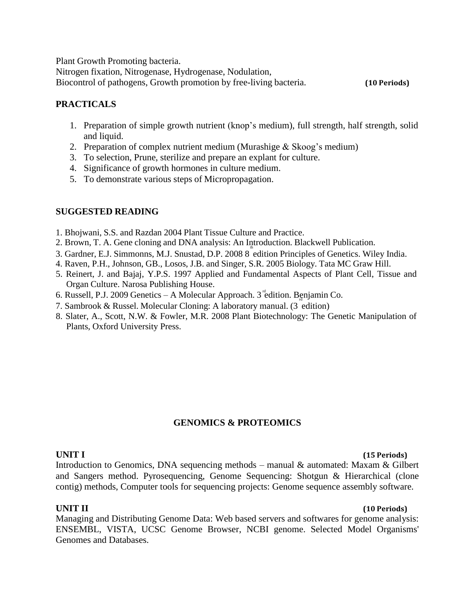Plant Growth Promoting bacteria.

Nitrogen fixation, Nitrogenase, Hydrogenase, Nodulation, Biocontrol of pathogens, Growth promotion by free-living bacteria. **(10 Periods)**

# **PRACTICALS**

- 1. Preparation of simple growth nutrient (knop's medium), full strength, half strength, solid and liquid.
- 2. Preparation of complex nutrient medium (Murashige  $&$  Skoog's medium)
- 3. To selection, Prune, sterilize and prepare an explant for culture.
- 4. Significance of growth hormones in culture medium.
- 5. To demonstrate various steps of Micropropagation.

# **SUGGESTED READING**

- 1. Bhojwani, S.S. and Razdan 2004 Plant Tissue Culture and Practice.
- 2. Brown, T. A. Gene cloning and DNA analysis: An Introduction. Blackwell Publication.
- 3. Gardner, E.J. Simmonns, M.J. Snustad, D.P. 2008 8 edition Principles of Genetics. Wiley India.
- 4. Raven, P.H., Johnson, GB., Losos, J.B. and Singer, S.R. 2005 Biology. Tata MC Graw Hill.
- 5. Reinert, J. and Bajaj, Y.P.S. 1997 Applied and Fundamental Aspects of Plant Cell, Tissue and Organ Culture. Narosa Publishing House.
- 6. Russell, P.J. 2009 Genetics A Molecular Approach. 3<sup>rd</sup>edition. Benjamin Co.
- 7. Sambrook & Russel. Molecular Cloning: A laboratory manual. (3 edition)
- 8. Slater, A., Scott, N.W. & Fowler, M.R. 2008 Plant Biotechnology: The Genetic Manipulation of Plants, Oxford University Press.

# **GENOMICS & PROTEOMICS**

### **UNIT I (15 Periods)**

Introduction to Genomics, DNA sequencing methods – manual & automated: Maxam & Gilbert and Sangers method. Pyrosequencing, Genome Sequencing: Shotgun & Hierarchical (clone contig) methods, Computer tools for sequencing projects: Genome sequence assembly software.

### **UNIT II (10 Periods)**

Managing and Distributing Genome Data: Web based servers and softwares for genome analysis: ENSEMBL, VISTA, UCSC Genome Browser, NCBI genome. Selected Model Organisms' Genomes and Databases.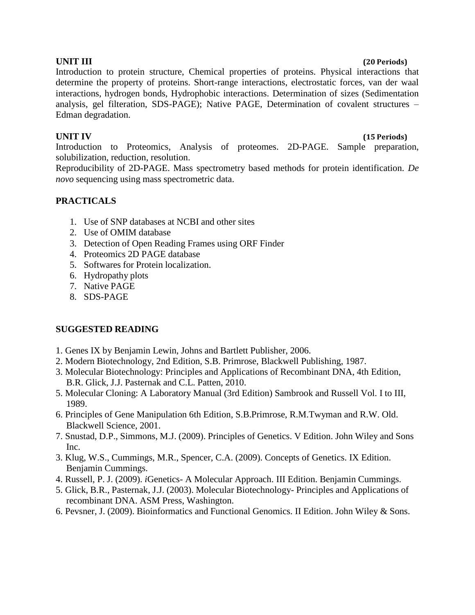### **UNIT III (20 Periods)**

Introduction to protein structure, Chemical properties of proteins. Physical interactions that determine the property of proteins. Short-range interactions, electrostatic forces, van der waal interactions, hydrogen bonds, Hydrophobic interactions. Determination of sizes (Sedimentation analysis, gel filteration, SDS-PAGE); Native PAGE, Determination of covalent structures – Edman degradation.

### **UNIT IV (15 Periods)**

Introduction to Proteomics, Analysis of proteomes. 2D-PAGE. Sample preparation, solubilization, reduction, resolution.

Reproducibility of 2D-PAGE. Mass spectrometry based methods for protein identification. *De novo* sequencing using mass spectrometric data.

# **PRACTICALS**

- 1. Use of SNP databases at NCBI and other sites
- 2. Use of OMIM database
- 3. Detection of Open Reading Frames using ORF Finder
- 4. Proteomics 2D PAGE database
- 5. Softwares for Protein localization.
- 6. Hydropathy plots
- 7. Native PAGE
- 8. SDS-PAGE

- 1. Genes IX by Benjamin Lewin, Johns and Bartlett Publisher, 2006.
- 2. Modern Biotechnology, 2nd Edition, S.B. Primrose, Blackwell Publishing, 1987.
- 3. Molecular Biotechnology: Principles and Applications of Recombinant DNA, 4th Edition, B.R. Glick, J.J. Pasternak and C.L. Patten, 2010.
- 5. Molecular Cloning: A Laboratory Manual (3rd Edition) Sambrook and Russell Vol. I to III, 1989.
- 6. Principles of Gene Manipulation 6th Edition, S.B.Primrose, R.M.Twyman and R.W. Old. Blackwell Science, 2001.
- 7. Snustad, D.P., Simmons, M.J. (2009). Principles of Genetics. V Edition. John Wiley and Sons Inc.
- 3. Klug, W.S., Cummings, M.R., Spencer, C.A. (2009). Concepts of Genetics. IX Edition. Benjamin Cummings.
- 4. Russell, P. J. (2009). *i*Genetics- A Molecular Approach. III Edition. Benjamin Cummings.
- 5. Glick, B.R., Pasternak, J.J. (2003). Molecular Biotechnology- Principles and Applications of recombinant DNA. ASM Press, Washington.
- 6. Pevsner, J. (2009). Bioinformatics and Functional Genomics. II Edition. John Wiley & Sons.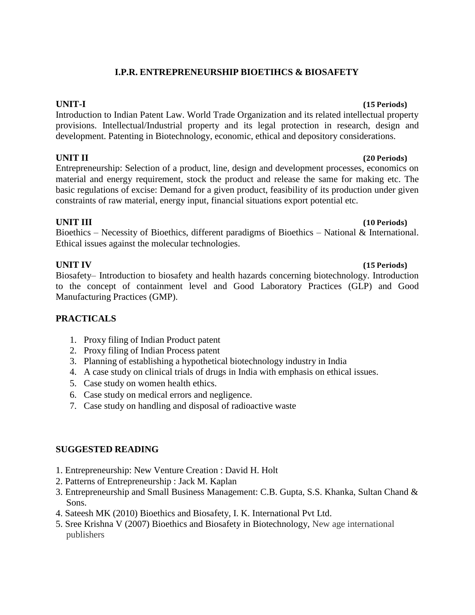# **I.P.R. ENTREPRENEURSHIP BIOETIHCS & BIOSAFETY**

Introduction to Indian Patent Law. World Trade Organization and its related intellectual property provisions. Intellectual/Industrial property and its legal protection in research, design and development. Patenting in Biotechnology, economic, ethical and depository considerations.

# **UNIT II (20 Periods)**

Entrepreneurship: Selection of a product, line, design and development processes, economics on material and energy requirement, stock the product and release the same for making etc. The basic regulations of excise: Demand for a given product, feasibility of its production under given constraints of raw material, energy input, financial situations export potential etc.

# **UNIT III (10 Periods)**

Bioethics – Necessity of Bioethics, different paradigms of Bioethics – National & International. Ethical issues against the molecular technologies.

Biosafety– Introduction to biosafety and health hazards concerning biotechnology. Introduction to the concept of containment level and Good Laboratory Practices (GLP) and Good Manufacturing Practices (GMP).

# **PRACTICALS**

- 1. Proxy filing of Indian Product patent
- 2. Proxy filing of Indian Process patent
- 3. Planning of establishing a hypothetical biotechnology industry in India
- 4. A case study on clinical trials of drugs in India with emphasis on ethical issues.
- 5. Case study on women health ethics.
- 6. Case study on medical errors and negligence.
- 7. Case study on handling and disposal of radioactive waste

# **SUGGESTED READING**

- 1. Entrepreneurship: New Venture Creation : David H. Holt
- 2. Patterns of Entrepreneurship : Jack M. Kaplan
- 3. Entrepreneurship and Small Business Management: C.B. Gupta, S.S. Khanka, Sultan Chand & Sons.
- 4. Sateesh MK (2010) Bioethics and Biosafety, I. K. International Pvt Ltd.
- 5. Sree Krishna V (2007) Bioethics and Biosafety in Biotechnology, New age international publishers

# **UNIT-I (15 Periods)**

# **UNIT IV (15 Periods)**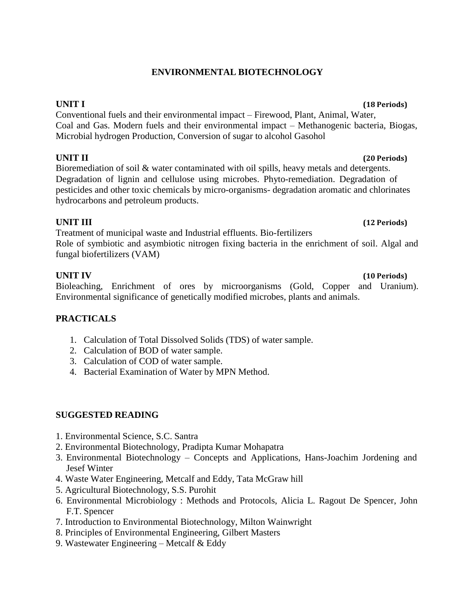# **ENVIRONMENTAL BIOTECHNOLOGY**

**UNIT I (18 Periods)**

Conventional fuels and their environmental impact – Firewood, Plant, Animal, Water, Coal and Gas. Modern fuels and their environmental impact – Methanogenic bacteria, Biogas, Microbial hydrogen Production, Conversion of sugar to alcohol Gasohol

# **UNIT II (20 Periods)**

Bioremediation of soil & water contaminated with oil spills, heavy metals and detergents. Degradation of lignin and cellulose using microbes. Phyto-remediation. Degradation of pesticides and other toxic chemicals by micro-organisms- degradation aromatic and chlorinates hydrocarbons and petroleum products.

# **UNIT III (12 Periods)**

Treatment of municipal waste and Industrial effluents. Bio-fertilizers Role of symbiotic and asymbiotic nitrogen fixing bacteria in the enrichment of soil. Algal and fungal biofertilizers (VAM)

Bioleaching, Enrichment of ores by microorganisms (Gold, Copper and Uranium). Environmental significance of genetically modified microbes, plants and animals.

# **PRACTICALS**

- 1. Calculation of Total Dissolved Solids (TDS) of water sample.
- 2. Calculation of BOD of water sample.
- 3. Calculation of COD of water sample.
- 4. Bacterial Examination of Water by MPN Method.

# **SUGGESTED READING**

- 1. Environmental Science, S.C. Santra
- 2. Environmental Biotechnology, Pradipta Kumar Mohapatra
- 3. Environmental Biotechnology Concepts and Applications, Hans-Joachim Jordening and Jesef Winter
- 4. Waste Water Engineering, Metcalf and Eddy, Tata McGraw hill
- 5. Agricultural Biotechnology, S.S. Purohit
- 6. Environmental Microbiology : Methods and Protocols, Alicia L. Ragout De Spencer, John F.T. Spencer
- 7. Introduction to Environmental Biotechnology, Milton Wainwright
- 8. Principles of Environmental Engineering, Gilbert Masters
- 9. Wastewater Engineering Metcalf & Eddy

## **UNIT IV (10 Periods)**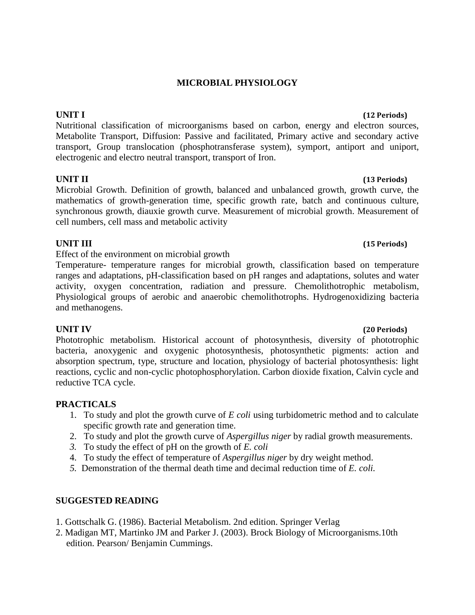### **MICROBIAL PHYSIOLOGY**

Nutritional classification of microorganisms based on carbon, energy and electron sources, Metabolite Transport, Diffusion: Passive and facilitated, Primary active and secondary active transport, Group translocation (phosphotransferase system), symport, antiport and uniport, electrogenic and electro neutral transport, transport of Iron.

### **UNIT II (13 Periods)**

Microbial Growth. Definition of growth, balanced and unbalanced growth, growth curve, the mathematics of growth-generation time, specific growth rate, batch and continuous culture, synchronous growth, diauxie growth curve. Measurement of microbial growth. Measurement of cell numbers, cell mass and metabolic activity

## **UNIT III (15 Periods)**

Effect of the environment on microbial growth

Temperature- temperature ranges for microbial growth, classification based on temperature ranges and adaptations, pH-classification based on pH ranges and adaptations, solutes and water activity, oxygen concentration, radiation and pressure. Chemolithotrophic metabolism, Physiological groups of aerobic and anaerobic chemolithotrophs. Hydrogenoxidizing bacteria and methanogens.

Phototrophic metabolism. Historical account of photosynthesis, diversity of phototrophic bacteria, anoxygenic and oxygenic photosynthesis, photosynthetic pigments: action and absorption spectrum, type, structure and location, physiology of bacterial photosynthesis: light reactions, cyclic and non-cyclic photophosphorylation. Carbon dioxide fixation, Calvin cycle and reductive TCA cycle.

### **PRACTICALS**

- 1. To study and plot the growth curve of *E coli* using turbidometric method and to calculate specific growth rate and generation time.
- 2. To study and plot the growth curve of *Aspergillus niger* by radial growth measurements.
- *3.* To study the effect of pH on the growth of *E. coli*
- 4. To study the effect of temperature of *Aspergillus niger* by dry weight method.
- *5.* Demonstration of the thermal death time and decimal reduction time of *E. coli.*

### **SUGGESTED READING**

- 1. Gottschalk G. (1986). Bacterial Metabolism. 2nd edition. Springer Verlag
- 2. Madigan MT, Martinko JM and Parker J. (2003). Brock Biology of Microorganisms.10th edition. Pearson/ Benjamin Cummings.

# **UNIT I (12 Periods)**

# **UNIT IV (20 Periods)**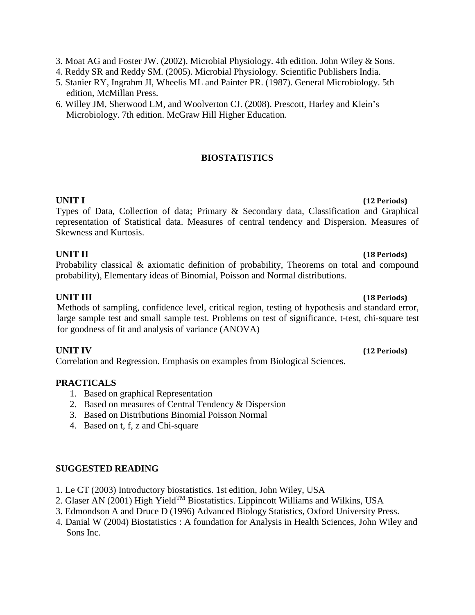3. Moat AG and Foster JW. (2002). Microbial Physiology. 4th edition. John Wiley & Sons.

- 4. Reddy SR and Reddy SM. (2005). Microbial Physiology. Scientific Publishers India.
- 5. Stanier RY, Ingrahm JI, Wheelis ML and Painter PR. (1987). General Microbiology. 5th edition, McMillan Press.
- 6. Willey JM, Sherwood LM, and Woolverton CJ. (2008). Prescott, Harley and Klein's Microbiology. 7th edition. McGraw Hill Higher Education.

# **BIOSTATISTICS**

Types of Data, Collection of data; Primary & Secondary data, Classification and Graphical representation of Statistical data. Measures of central tendency and Dispersion. Measures of Skewness and Kurtosis.

# **UNIT II (18 Periods)**

Probability classical & axiomatic definition of probability, Theorems on total and compound probability), Elementary ideas of Binomial, Poisson and Normal distributions.

# **UNIT III (18 Periods)**

Methods of sampling, confidence level, critical region, testing of hypothesis and standard error, large sample test and small sample test. Problems on test of significance, t-test, chi-square test for goodness of fit and analysis of variance (ANOVA)

Correlation and Regression. Emphasis on examples from Biological Sciences.

# **PRACTICALS**

- 1. Based on graphical Representation
- 2. Based on measures of Central Tendency & Dispersion
- 3. Based on Distributions Binomial Poisson Normal
- 4. Based on t, f, z and Chi-square

# **SUGGESTED READING**

- 1. Le CT (2003) Introductory biostatistics. 1st edition, John Wiley, USA
- 2. Glaser AN (2001) High Yield<sup>TM</sup> Biostatistics. Lippincott Williams and Wilkins, USA
- 3. Edmondson A and Druce D (1996) Advanced Biology Statistics, Oxford University Press.
- 4. Danial W (2004) Biostatistics : A foundation for Analysis in Health Sciences, John Wiley and Sons Inc.

### **UNIT IV (12 Periods)**

# **UNIT I (12 Periods)**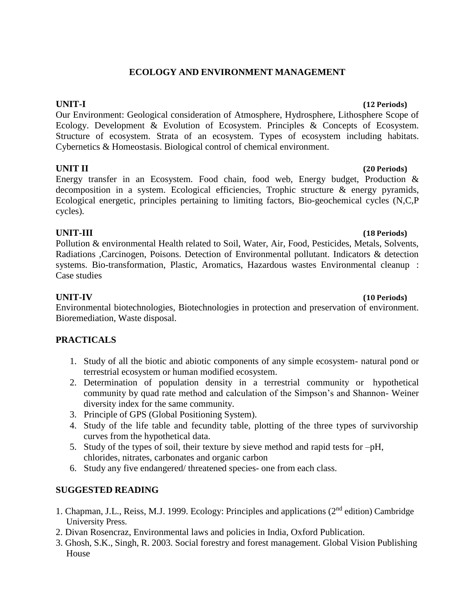# **ECOLOGY AND ENVIRONMENT MANAGEMENT**

Our Environment: Geological consideration of Atmosphere, Hydrosphere, Lithosphere Scope of Ecology. Development & Evolution of Ecosystem. Principles & Concepts of Ecosystem. Structure of ecosystem. Strata of an ecosystem. Types of ecosystem including habitats. Cybernetics & Homeostasis. Biological control of chemical environment.

# **UNIT II (20 Periods)**

Energy transfer in an Ecosystem. Food chain, food web, Energy budget, Production & decomposition in a system. Ecological efficiencies, Trophic structure & energy pyramids, Ecological energetic, principles pertaining to limiting factors, Bio-geochemical cycles (N,C,P cycles).

# **UNIT-III (18 Periods)**

Pollution & environmental Health related to Soil, Water, Air, Food, Pesticides, Metals, Solvents, Radiations ,Carcinogen, Poisons. Detection of Environmental pollutant. Indicators & detection systems. Bio-transformation, Plastic, Aromatics, Hazardous wastes Environmental cleanup : Case studies

Environmental biotechnologies, Biotechnologies in protection and preservation of environment. Bioremediation, Waste disposal.

# **PRACTICALS**

- 1. Study of all the biotic and abiotic components of any simple ecosystem- natural pond or terrestrial ecosystem or human modified ecosystem.
- 2. Determination of population density in a terrestrial community or hypothetical community by quad rate method and calculation of the Simpson's and Shannon- Weiner diversity index for the same community.
- 3. Principle of GPS (Global Positioning System).
- 4. Study of the life table and fecundity table, plotting of the three types of survivorship curves from the hypothetical data.
- 5. Study of the types of soil, their texture by sieve method and rapid tests for –pH, chlorides, nitrates, carbonates and organic carbon
- 6. Study any five endangered/ threatened species- one from each class.

# **SUGGESTED READING**

- 1. Chapman, J.L., Reiss, M.J. 1999. Ecology: Principles and applications (2nd edition) Cambridge University Press.
- 2. Divan Rosencraz, Environmental laws and policies in India, Oxford Publication.
- 3. Ghosh, S.K., Singh, R. 2003. Social forestry and forest management. Global Vision Publishing House

### **UNIT-I (12 Periods)**

# **UNIT-IV (10 Periods)**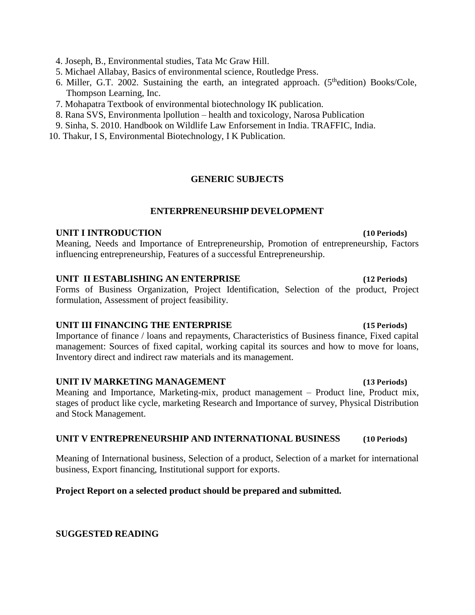4. Joseph, B., Environmental studies, Tata Mc Graw Hill.

5. Michael Allabay, Basics of environmental science, Routledge Press.

- 6. Miller, G.T. 2002. Sustaining the earth, an integrated approach. ( $5<sup>th</sup>$ edition) Books/Cole, Thompson Learning, Inc.
- 7. Mohapatra Textbook of environmental biotechnology IK publication.
- 8. Rana SVS, Environmenta lpollution health and toxicology, Narosa Publication
- 9. Sinha, S. 2010. Handbook on Wildlife Law Enforsement in India. TRAFFIC, India.
- 10. Thakur, I S, Environmental Biotechnology, I K Publication.

# **GENERIC SUBJECTS**

# **ENTERPRENEURSHIP DEVELOPMENT**

# **UNIT I INTRODUCTION (10 Periods)**

Meaning, Needs and Importance of Entrepreneurship, Promotion of entrepreneurship, Factors influencing entrepreneurship, Features of a successful Entrepreneurship.

# **UNIT II ESTABLISHING AN ENTERPRISE (12 Periods)**

Forms of Business Organization, Project Identification, Selection of the product, Project formulation, Assessment of project feasibility.

# **UNIT III FINANCING THE ENTERPRISE (15 Periods)**

Importance of finance / loans and repayments, Characteristics of Business finance, Fixed capital management: Sources of fixed capital, working capital its sources and how to move for loans, Inventory direct and indirect raw materials and its management.

### **UNIT IV MARKETING MANAGEMENT (13 Periods)**

Meaning and Importance, Marketing-mix, product management – Product line, Product mix, stages of product like cycle, marketing Research and Importance of survey, Physical Distribution and Stock Management.

# **UNIT V ENTREPRENEURSHIP AND INTERNATIONAL BUSINESS (10 Periods)**

Meaning of International business, Selection of a product, Selection of a market for international business, Export financing, Institutional support for exports.

# **Project Report on a selected product should be prepared and submitted.**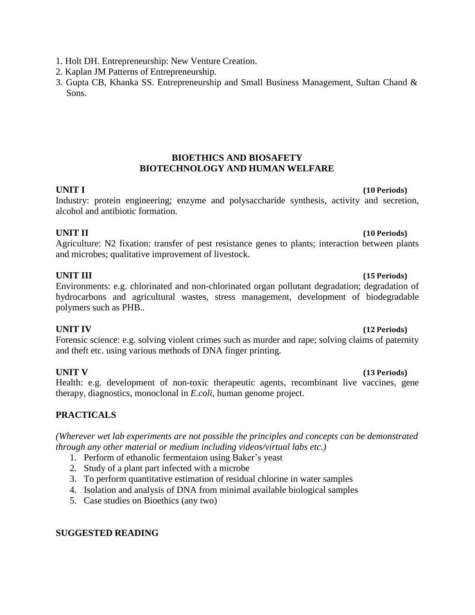- 1. Holt DH. Entrepreneurship: New Venture Creation.
- 2. Kaplan JM Patterns of Entrepreneurship.
- 3. Gupta CB, Khanka SS. Entrepreneurship and Small Business Management, Sultan Chand & Sons.

# **BIOETHICS AND BIOSAFETY BIOTECHNOLOGY AND HUMAN WELFARE**

# **UNIT I (10 Periods)**

Industry: protein engineering; enzyme and polysaccharide synthesis, activity and secretion, alcohol and antibiotic formation.

# **UNIT II (10 Periods)**

Agriculture: N2 fixation: transfer of pest resistance genes to plants; interaction between plants and microbes; qualitative improvement of livestock.

Environments: e.g. chlorinated and non-chlorinated organ pollutant degradation; degradation of hydrocarbons and agricultural wastes, stress management, development of biodegradable polymers such as PHB..

# **UNIT IV (12 Periods)**

Forensic science: e.g. solving violent crimes such as murder and rape; solving claims of paternity and theft etc. using various methods of DNA finger printing.

# **UNIT V (13 Periods)**

Health: e.g. development of non-toxic therapeutic agents, recombinant live vaccines, gene therapy, diagnostics, monoclonal in *E.coli*, human genome project.

# **PRACTICALS**

*(Wherever wet lab experiments are not possible the principles and concepts can be demonstrated through any other material or medium including videos/virtual labs etc.)*

- 1. Perform of ethanolic fermentaion using Baker's yeast
- 2. Study of a plant part infected with a microbe
- 3. To perform quantitative estimation of residual chlorine in water samples
- 4. Isolation and analysis of DNA from minimal available biological samples
- 5. Case studies on Bioethics (any two)

# **SUGGESTED READING**

# **UNIT III (15 Periods)**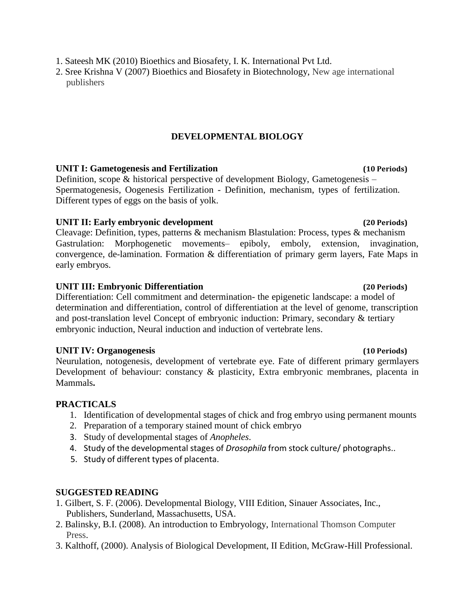2. Sree Krishna V (2007) Bioethics and Biosafety in Biotechnology, New age international publishers

# **DEVELOPMENTAL BIOLOGY**

# **UNIT I: Gametogenesis and Fertilization (10 Periods)**

Definition, scope & historical perspective of development Biology, Gametogenesis – Spermatogenesis, Oogenesis Fertilization - Definition, mechanism, types of fertilization. Different types of eggs on the basis of yolk.

# **UNIT II: Early embryonic development (20 Periods)**

Cleavage: Definition, types, patterns & mechanism Blastulation: Process, types & mechanism Gastrulation: Morphogenetic movements– epiboly, emboly, extension, invagination, convergence, de-lamination. Formation & differentiation of primary germ layers, Fate Maps in early embryos.

# **UNIT III: Embryonic Differentiation (20 Periods)**

Differentiation: Cell commitment and determination- the epigenetic landscape: a model of determination and differentiation, control of differentiation at the level of genome, transcription and post-translation level Concept of embryonic induction: Primary, secondary & tertiary embryonic induction, Neural induction and induction of vertebrate lens.

# **UNIT IV: Organogenesis (10 Periods)**

Neurulation, notogenesis, development of vertebrate eye. Fate of different primary germlayers Development of behaviour: constancy & plasticity, Extra embryonic membranes, placenta in Mammals**.**

# **PRACTICALS**

- 1. Identification of developmental stages of chick and frog embryo using permanent mounts
- 2. Preparation of a temporary stained mount of chick embryo
- 3. Study of developmental stages of *Anopheles*.
- 4. Study of the developmental stages of *Drosophila* from stock culture/ photographs..
- 5. Study of different types of placenta.

- 1. Gilbert, S. F. (2006). Developmental Biology, VIII Edition, Sinauer Associates, Inc., Publishers, Sunderland, Massachusetts, USA.
- 2. Balinsky, B.I. (2008). An introduction to Embryology, International Thomson Computer Press.
- 3. Kalthoff, (2000). Analysis of Biological Development, II Edition, McGraw-Hill Professional.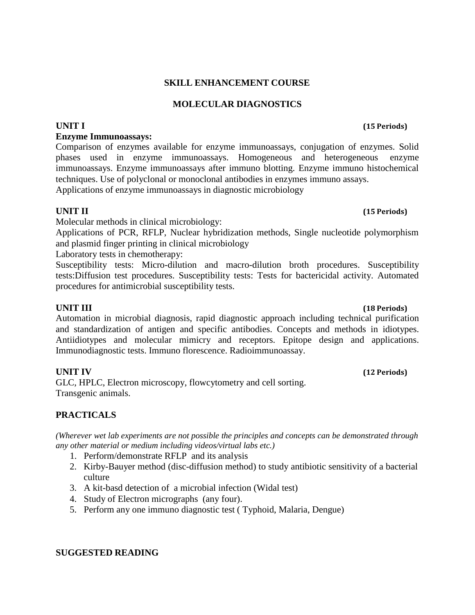# **SKILL ENHANCEMENT COURSE**

# **MOLECULAR DIAGNOSTICS**

# **Enzyme Immunoassays:**

Comparison of enzymes available for enzyme immunoassays, conjugation of enzymes. Solid phases used in enzyme immunoassays. Homogeneous and heterogeneous enzyme immunoassays. Enzyme immunoassays after immuno blotting. Enzyme immuno histochemical techniques. Use of polyclonal or monoclonal antibodies in enzymes immuno assays. Applications of enzyme immunoassays in diagnostic microbiology

**UNIT II (15 Periods)**

Molecular methods in clinical microbiology:

Applications of PCR, RFLP, Nuclear hybridization methods, Single nucleotide polymorphism and plasmid finger printing in clinical microbiology

Laboratory tests in chemotherapy:

Susceptibility tests: Micro-dilution and macro-dilution broth procedures. Susceptibility tests:Diffusion test procedures. Susceptibility tests: Tests for bactericidal activity. Automated procedures for antimicrobial susceptibility tests.

Automation in microbial diagnosis, rapid diagnostic approach including technical purification and standardization of antigen and specific antibodies. Concepts and methods in idiotypes. Antiidiotypes and molecular mimicry and receptors. Epitope design and applications. Immunodiagnostic tests. Immuno florescence. Radioimmunoassay.

GLC, HPLC, Electron microscopy, flowcytometry and cell sorting. Transgenic animals.

# **PRACTICALS**

*(Wherever wet lab experiments are not possible the principles and concepts can be demonstrated through any other material or medium including videos/virtual labs etc.)*

- 1. Perform/demonstrate RFLP and its analysis
- 2. Kirby-Bauyer method (disc-diffusion method) to study antibiotic sensitivity of a bacterial culture
- 3. A kit-basd detection of a microbial infection (Widal test)
- 4. Study of Electron micrographs (any four).
- 5. Perform any one immuno diagnostic test ( Typhoid, Malaria, Dengue)

### **SUGGESTED READING**

# **UNIT III (18 Periods)**

### **UNIT IV (12 Periods)**

## **UNIT I (15 Periods)**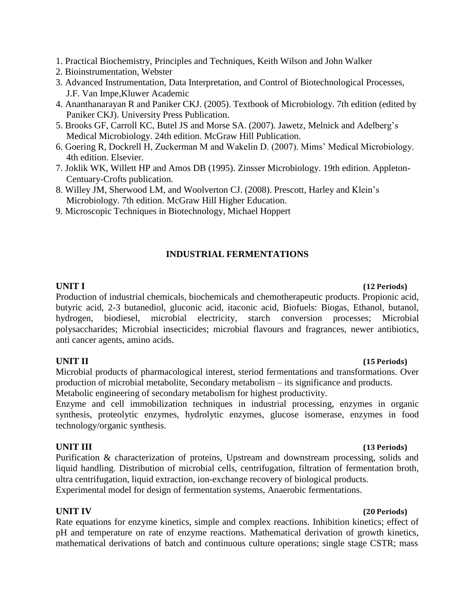- 1. Practical Biochemistry, Principles and Techniques, Keith Wilson and John Walker
- 2. Bioinstrumentation, Webster
- 3. Advanced Instrumentation, Data Interpretation, and Control of Biotechnological Processes, J.F. Van Impe,Kluwer Academic
- 4. Ananthanarayan R and Paniker CKJ. (2005). Textbook of Microbiology. 7th edition (edited by Paniker CKJ). University Press Publication.
- 5. Brooks GF, Carroll KC, Butel JS and Morse SA. (2007). Jawetz, Melnick and Adelberg's Medical Microbiology. 24th edition. McGraw Hill Publication.
- 6. Goering R, Dockrell H, Zuckerman M and Wakelin D. (2007). Mims' Medical Microbiology. 4th edition. Elsevier.
- 7. Joklik WK, Willett HP and Amos DB (1995). Zinsser Microbiology. 19th edition. Appleton-Centuary-Crofts publication.
- 8. Willey JM, Sherwood LM, and Woolverton CJ. (2008). Prescott, Harley and Klein's Microbiology. 7th edition. McGraw Hill Higher Education.
- 9. Microscopic Techniques in Biotechnology, Michael Hoppert

### **INDUSTRIAL FERMENTATIONS**

### **UNIT I (12 Periods)**

Production of industrial chemicals, biochemicals and chemotherapeutic products. Propionic acid, butyric acid, 2-3 butanediol, gluconic acid, itaconic acid, Biofuels: Biogas, Ethanol, butanol, hydrogen, biodiesel, microbial electricity, starch conversion processes; Microbial polysaccharides; Microbial insecticides; microbial flavours and fragrances, newer antibiotics, anti cancer agents, amino acids.

### **UNIT II (15 Periods)**

Microbial products of pharmacological interest, steriod fermentations and transformations. Over production of microbial metabolite, Secondary metabolism – its significance and products. Metabolic engineering of secondary metabolism for highest productivity.

Enzyme and cell immobilization techniques in industrial processing, enzymes in organic synthesis, proteolytic enzymes, hydrolytic enzymes, glucose isomerase, enzymes in food technology/organic synthesis.

### **UNIT III (13 Periods)**

Purification & characterization of proteins, Upstream and downstream processing, solids and liquid handling. Distribution of microbial cells, centrifugation, filtration of fermentation broth, ultra centrifugation, liquid extraction, ion-exchange recovery of biological products. Experimental model for design of fermentation systems, Anaerobic fermentations.

Rate equations for enzyme kinetics, simple and complex reactions. Inhibition kinetics; effect of pH and temperature on rate of enzyme reactions. Mathematical derivation of growth kinetics, mathematical derivations of batch and continuous culture operations; single stage CSTR; mass

### **UNIT IV (20 Periods)**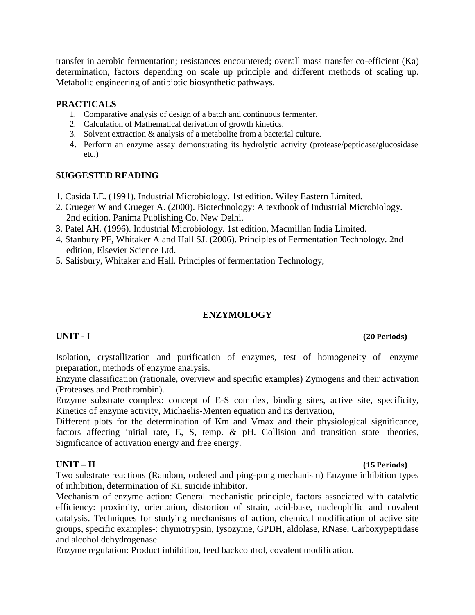transfer in aerobic fermentation; resistances encountered; overall mass transfer co-efficient (Ka) determination, factors depending on scale up principle and different methods of scaling up. Metabolic engineering of antibiotic biosynthetic pathways.

### **PRACTICALS**

- 1. Comparative analysis of design of a batch and continuous fermenter.
- 2. Calculation of Mathematical derivation of growth kinetics.
- 3. Solvent extraction & analysis of a metabolite from a bacterial culture.
- 4. Perform an enzyme assay demonstrating its hydrolytic activity (protease/peptidase/glucosidase etc.)

### **SUGGESTED READING**

- 1. Casida LE. (1991). Industrial Microbiology. 1st edition. Wiley Eastern Limited.
- 2. Crueger W and Crueger A. (2000). Biotechnology: A textbook of Industrial Microbiology. 2nd edition. Panima Publishing Co. New Delhi.
- 3. Patel AH. (1996). Industrial Microbiology. 1st edition, Macmillan India Limited.
- 4. Stanbury PF, Whitaker A and Hall SJ. (2006). Principles of Fermentation Technology. 2nd edition, Elsevier Science Ltd.
- 5. Salisbury, Whitaker and Hall. Principles of fermentation Technology,

### **ENZYMOLOGY**

### **UNIT - I (20 Periods)**

Isolation, crystallization and purification of enzymes, test of homogeneity of enzyme preparation, methods of enzyme analysis.

Enzyme classification (rationale, overview and specific examples) Zymogens and their activation (Proteases and Prothrombin).

Enzyme substrate complex: concept of E-S complex, binding sites, active site, specificity, Kinetics of enzyme activity, Michaelis-Menten equation and its derivation,

Different plots for the determination of Km and Vmax and their physiological significance, factors affecting initial rate, E, S, temp. & pH. Collision and transition state theories, Significance of activation energy and free energy.

### **UNIT – II (15 Periods)**

Two substrate reactions (Random, ordered and ping-pong mechanism) Enzyme inhibition types of inhibition, determination of Ki, suicide inhibitor.

Mechanism of enzyme action: General mechanistic principle, factors associated with catalytic efficiency: proximity, orientation, distortion of strain, acid-base, nucleophilic and covalent catalysis. Techniques for studying mechanisms of action, chemical modification of active site groups, specific examples-: chymotrypsin, Iysozyme, GPDH, aldolase, RNase, Carboxypeptidase and alcohol dehydrogenase.

Enzyme regulation: Product inhibition, feed backcontrol, covalent modification.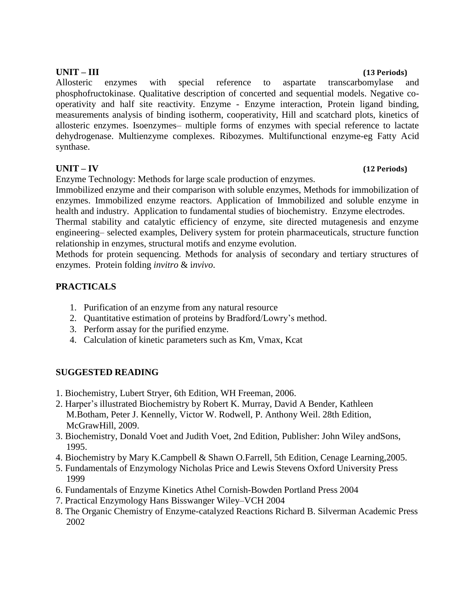Allosteric enzymes with special reference to aspartate transcarbomylase and phosphofructokinase. Qualitative description of concerted and sequential models. Negative cooperativity and half site reactivity. Enzyme - Enzyme interaction, Protein ligand binding, measurements analysis of binding isotherm, cooperativity, Hill and scatchard plots, kinetics of allosteric enzymes. Isoenzymes– multiple forms of enzymes with special reference to lactate dehydrogenase. Multienzyme complexes. Ribozymes. Multifunctional enzyme-eg Fatty Acid synthase.

Enzyme Technology: Methods for large scale production of enzymes.

Immobilized enzyme and their comparison with soluble enzymes, Methods for immobilization of enzymes. Immobilized enzyme reactors. Application of Immobilized and soluble enzyme in health and industry. Application to fundamental studies of biochemistry. Enzyme electrodes.

Thermal stability and catalytic efficiency of enzyme, site directed mutagenesis and enzyme engineering– selected examples, Delivery system for protein pharmaceuticals, structure function relationship in enzymes, structural motifs and enzyme evolution.

Methods for protein sequencing. Methods for analysis of secondary and tertiary structures of enzymes. Protein folding *invitro* & i*nvivo*.

# **PRACTICALS**

- 1. Purification of an enzyme from any natural resource
- 2. Quantitative estimation of proteins by Bradford/Lowry's method.
- 3. Perform assay for the purified enzyme.
- 4. Calculation of kinetic parameters such as Km, Vmax, Kcat

# **SUGGESTED READING**

- 1. Biochemistry, Lubert Stryer, 6th Edition, WH Freeman, 2006.
- 2. Harper's illustrated Biochemistry by Robert K. Murray, David A Bender, Kathleen M.Botham, Peter J. Kennelly, Victor W. Rodwell, P. Anthony Weil. 28th Edition, McGrawHill, 2009.
- 3. Biochemistry, Donald Voet and Judith Voet, 2nd Edition, Publisher: John Wiley andSons, 1995.
- 4. Biochemistry by Mary K.Campbell & Shawn O.Farrell, 5th Edition, Cenage Learning,2005.
- 5. Fundamentals of Enzymology Nicholas Price and Lewis Stevens Oxford University Press 1999
- 6. Fundamentals of Enzyme Kinetics Athel Cornish-Bowden Portland Press 2004
- 7. Practical Enzymology Hans Bisswanger Wiley–VCH 2004
- 8. The Organic Chemistry of Enzyme-catalyzed Reactions Richard B. Silverman Academic Press 2002

### **UNIT – III (13 Periods)**

# **UNIT – IV (12 Periods)**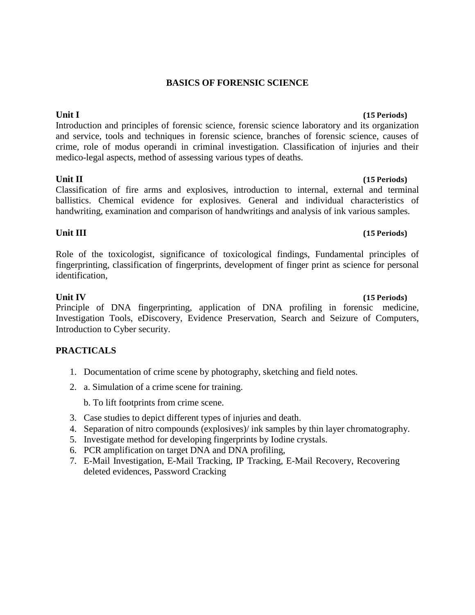### **BASICS OF FORENSIC SCIENCE**

Introduction and principles of forensic science, forensic science laboratory and its organization and service, tools and techniques in forensic science, branches of forensic science, causes of crime, role of modus operandi in criminal investigation. Classification of injuries and their medico-legal aspects, method of assessing various types of deaths.

### **Unit II (15 Periods)**

Classification of fire arms and explosives, introduction to internal, external and terminal ballistics. Chemical evidence for explosives. General and individual characteristics of handwriting, examination and comparison of handwritings and analysis of ink various samples.

### **Unit III (15 Periods)**

Role of the toxicologist, significance of toxicological findings, Fundamental principles of fingerprinting, classification of fingerprints, development of finger print as science for personal identification,

### **Unit IV (15 Periods)**

Principle of DNA fingerprinting, application of DNA profiling in forensic medicine, Investigation Tools, eDiscovery, Evidence Preservation, Search and Seizure of Computers, Introduction to Cyber security.

### **PRACTICALS**

- 1. Documentation of crime scene by photography, sketching and field notes.
- 2. a. Simulation of a crime scene for training.

b. To lift footprints from crime scene.

- 3. Case studies to depict different types of injuries and death.
- 4. Separation of nitro compounds (explosives)/ ink samples by thin layer chromatography.
- 5. Investigate method for developing fingerprints by Iodine crystals.
- 6. PCR amplification on target DNA and DNA profiling,
- 7. E-Mail Investigation, E-Mail Tracking, IP Tracking, E-Mail Recovery, Recovering deleted evidences, Password Cracking

# **Unit I (15 Periods)**